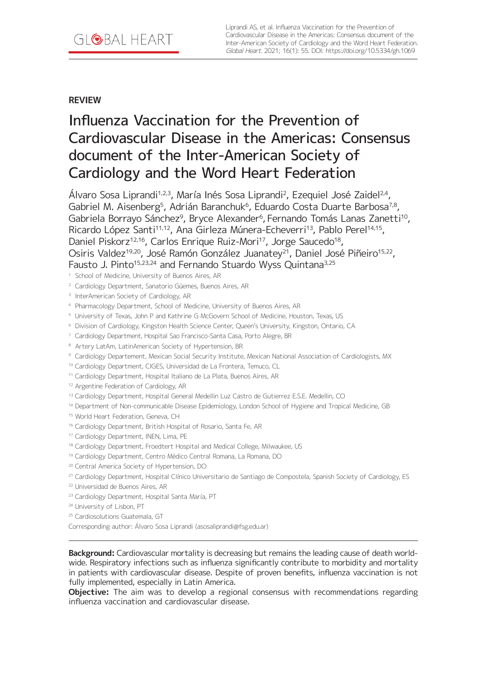# **REVIEW**

# Influenza Vaccination for the Prevention of Cardiovascular Disease in the Americas: Consensus document of the Inter-American Society of Cardiology and the Word Heart Federation

Álvaro Sosa Liprandi<sup>1,2,3</sup>, María Inés Sosa Liprandi<sup>2</sup>, Ezequiel José Zaidel<sup>2,4</sup>, Gabriel M. Aisenberg<sup>5</sup>, Adrián Baranchuk<sup>6</sup>, Eduardo Costa Duarte Barbosa<sup>7,8</sup>, Gabriela Borrayo Sánchez<sup>9</sup>, Bryce Alexander<sup>6</sup>, Fernando Tomás Lanas Zanetti<sup>10</sup>, Ricardo López Santi<sup>11,12</sup>, Ana Girleza Múnera-Echeverri<sup>13</sup>, Pablo Perel<sup>14,15</sup>, Daniel Piskorz<sup>12,16</sup>, Carlos Enrique Ruiz-Mori<sup>17</sup>, Jorge Saucedo<sup>18</sup>, Osiris Valdez<sup>19,20</sup>, José Ramón González Juanatey<sup>21</sup>, Daniel José Piñeiro<sup>15,22</sup>, Fausto J. Pinto<sup>15,23,24</sup> and Fernando Stuardo Wyss Quintana<sup>3,25</sup>

- <sup>1</sup> School of Medicine, University of Buenos Aires, AR
- <sup>2</sup> Cardiology Department, Sanatorio Güemes, Buenos Aires, AR
- <sup>3</sup> InterAmerican Society of Cardiology, AR
- <sup>4</sup> Pharmacology Department, School of Medicine, University of Buenos Aires, AR
- <sup>5</sup> University of Texas, John P and Kathrine G McGovern School of Medicine, Houston, Texas, US
- <sup>6</sup> Division of Cardiology, Kingston Health Science Center, Queen's University, Kingston, Ontario, CA
- <sup>7</sup> Cardiology Department, Hospital Sao Francisco-Santa Casa, Porto Alegre, BR
- 8 Artery LatAm, LatinAmerican Society of Hypertension, BR
- <sup>9</sup> Cardiology Departement, Mexican Social Security Institute, Mexican National Association of Cardiologists, MX

<sup>10</sup> Cardiology Department, CIGES, Universidad de La Frontera, Temuco, CL

- <sup>11</sup> Cardiology Department, Hospital Italiano de La Plata, Buenos Aires, AR
- <sup>12</sup> Argentine Federation of Cardiology, AR
- <sup>13</sup> Cardiology Department, Hospital General Medellin Luz Castro de Gutierrez E.S.E. Medellin, CO
- <sup>14</sup> Department of Non-communicable Disease Epidemiology, London School of Hygiene and Tropical Medicine, GB
- 15 World Heart Federation, Geneva, CH
- <sup>16</sup> Cardiology Department, British Hospital of Rosario, Santa Fe, AR
- 17 Cardiology Department, INEN, Lima, PE
- <sup>18</sup> Cardiology Department, Froedtert Hospital and Medical College, Milwaukee, US
- <sup>19</sup> Cardiology Department, Centro Médico Central Romana, La Romana, DO
- <sup>20</sup> Central America Society of Hypertension, DO
- <sup>21</sup> Cardiology Department, Hospital Clínico Universitario de Santiago de Compostela, Spanish Society of Cardiology, ES
- <sup>22</sup> Universidad de Buenos Aires, AR
- <sup>23</sup> Cardiology Department, Hospital Santa María, PT
- <sup>24</sup> University of Lisbon, PT
- <sup>25</sup> Cardiosolutions Guatemala, GT
- Corresponding author: Álvaro Sosa Liprandi [\(asosaliprandi@fsg.edu.ar](mailto:asosaliprandi@fsg.edu.ar))

**Background:** Cardiovascular mortality is decreasing but remains the leading cause of death worldwide. Respiratory infections such as influenza significantly contribute to morbidity and mortality in patients with cardiovascular disease. Despite of proven benefits, influenza vaccination is not fully implemented, especially in Latin America.

**Objective:** The aim was to develop a regional consensus with recommendations regarding influenza vaccination and cardiovascular disease.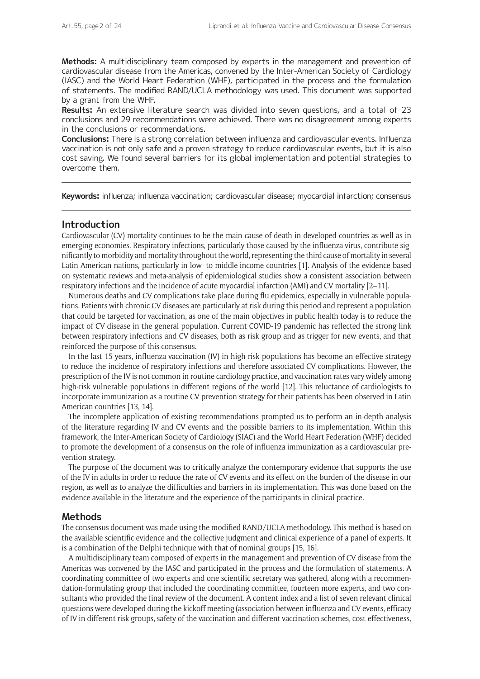**Methods:** A multidisciplinary team composed by experts in the management and prevention of cardiovascular disease from the Americas, convened by the Inter-American Society of Cardiology (IASC) and the World Heart Federation (WHF), participated in the process and the formulation of statements. The modified RAND/UCLA methodology was used. This document was supported by a grant from the WHF.

**Results:** An extensive literature search was divided into seven questions, and a total of 23 conclusions and 29 recommendations were achieved. There was no disagreement among experts in the conclusions or recommendations.

**Conclusions:** There is a strong correlation between influenza and cardiovascular events. Influenza vaccination is not only safe and a proven strategy to reduce cardiovascular events, but it is also cost saving. We found several barriers for its global implementation and potential strategies to overcome them.

**Keywords:** influenza; influenza vaccination; cardiovascular disease; myocardial infarction; consensus

## **Introduction**

Cardiovascular (CV) mortality continues to be the main cause of death in developed countries as well as in emerging economies. Respiratory infections, particularly those caused by the influenza virus, contribute significantly to morbidity and mortality throughout the world, representing the third cause of mortality in several Latin American nations, particularly in low- to middle-income countries [1]. Analysis of the evidence based on systematic reviews and meta-analysis of epidemiological studies show a consistent association between respiratory infections and the incidence of acute myocardial infarction (AMI) and CV mortality [2–11].

Numerous deaths and CV complications take place during flu epidemics, especially in vulnerable populations. Patients with chronic CV diseases are particularly at risk during this period and represent a population that could be targeted for vaccination, as one of the main objectives in public health today is to reduce the impact of CV disease in the general population. Current COVID-19 pandemic has reflected the strong link between respiratory infections and CV diseases, both as risk group and as trigger for new events, and that reinforced the purpose of this consensus.

In the last 15 years, influenza vaccination (IV) in high-risk populations has become an effective strategy to reduce the incidence of respiratory infections and therefore associated CV complications. However, the prescription of the IV is not common in routine cardiology practice, and vaccination rates vary widely among high-risk vulnerable populations in different regions of the world [12]. This reluctance of cardiologists to incorporate immunization as a routine CV prevention strategy for their patients has been observed in Latin American countries [13, 14].

The incomplete application of existing recommendations prompted us to perform an in-depth analysis of the literature regarding IV and CV events and the possible barriers to its implementation. Within this framework, the Inter-American Society of Cardiology (SIAC) and the World Heart Federation (WHF) decided to promote the development of a consensus on the role of influenza immunization as a cardiovascular prevention strategy.

The purpose of the document was to critically analyze the contemporary evidence that supports the use of the IV in adults in order to reduce the rate of CV events and its effect on the burden of the disease in our region, as well as to analyze the difficulties and barriers in its implementation. This was done based on the evidence available in the literature and the experience of the participants in clinical practice.

#### **Methods**

The consensus document was made using the modified RAND/UCLA methodology. This method is based on the available scientific evidence and the collective judgment and clinical experience of a panel of experts. It is a combination of the Delphi technique with that of nominal groups [15, 16].

A multidisciplinary team composed of experts in the management and prevention of CV disease from the Americas was convened by the IASC and participated in the process and the formulation of statements. A coordinating committee of two experts and one scientific secretary was gathered, along with a recommendation-formulating group that included the coordinating committee, fourteen more experts, and two consultants who provided the final review of the document. A content index and a list of seven relevant clinical questions were developed during the kickoff meeting (association between influenza and CV events, efficacy of IV in different risk groups, safety of the vaccination and different vaccination schemes, cost-effectiveness,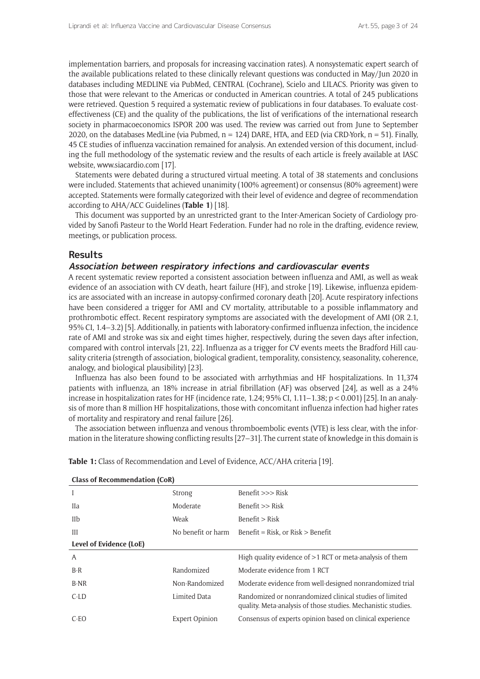implementation barriers, and proposals for increasing vaccination rates). A nonsystematic expert search of the available publications related to these clinically relevant questions was conducted in May/Jun 2020 in databases including MEDLINE via PubMed, CENTRAL (Cochrane), Scielo and LILACS. Priority was given to those that were relevant to the Americas or conducted in American countries. A total of 245 publications were retrieved. Question 5 required a systematic review of publications in four databases. To evaluate costeffectiveness (CE) and the quality of the publications, the list of verifications of the international research society in pharmacoeconomics ISPOR 200 was used. The review was carried out from June to September 2020, on the databases MedLine (via Pubmed,  $n = 124$ ) DARE, HTA, and EED (via CRD-York,  $n = 51$ ). Finally, 45 CE studies of influenza vaccination remained for analysis. An extended version of this document, including the full methodology of the systematic review and the results of each article is freely available at IASC website, [www.siacardio.com](http://www.siacardio.com) [17].

Statements were debated during a structured virtual meeting. A total of 38 statements and conclusions were included. Statements that achieved unanimity (100% agreement) or consensus (80% agreement) were accepted. Statements were formally categorized with their level of evidence and degree of recommendation according to AHA/ACC Guidelines (**Table 1**) [18].

This document was supported by an unrestricted grant to the Inter-American Society of Cardiology provided by Sanofi Pasteur to the World Heart Federation. Funder had no role in the drafting, evidence review, meetings, or publication process.

## **Results**

#### **Association between respiratory infections and cardiovascular events**

A recent systematic review reported a consistent association between influenza and AMI, as well as weak evidence of an association with CV death, heart failure (HF), and stroke [19]. Likewise, influenza epidemics are associated with an increase in autopsy-confirmed coronary death [20]. Acute respiratory infections have been considered a trigger for AMI and CV mortality, attributable to a possible inflammatory and prothrombotic effect. Recent respiratory symptoms are associated with the development of AMI (OR 2.1, 95% CI, 1.4–3.2) [5]. Additionally, in patients with laboratory-confirmed influenza infection, the incidence rate of AMI and stroke was six and eight times higher, respectively, during the seven days after infection, compared with control intervals [21, 22]. Influenza as a trigger for CV events meets the Bradford Hill causality criteria (strength of association, biological gradient, temporality, consistency, seasonality, coherence, analogy, and biological plausibility) [23].

Influenza has also been found to be associated with arrhythmias and HF hospitalizations. In 11,374 patients with influenza, an 18% increase in atrial fibrillation (AF) was observed [24], as well as a 24% increase in hospitalization rates for HF (incidence rate, 1.24; 95% CI, 1.11–1.38; p < 0.001) [25]. In an analysis of more than 8 million HF hospitalizations, those with concomitant influenza infection had higher rates of mortality and respiratory and renal failure [26].

The association between influenza and venous thromboembolic events (VTE) is less clear, with the information in the literature showing conflicting results [27–31]. The current state of knowledge in this domain is

| <b>Class of Recommendation (CoR)</b> |                       |                                                                                                                          |  |  |  |
|--------------------------------------|-----------------------|--------------------------------------------------------------------------------------------------------------------------|--|--|--|
|                                      | Strong                | Benefit $>>$ Risk                                                                                                        |  |  |  |
| <b>I</b> Ia                          | Moderate              | Benefit $>>$ Risk                                                                                                        |  |  |  |
| IIb                                  | Weak                  | Benefit > Risk                                                                                                           |  |  |  |
| Ш                                    | No benefit or harm    | Benefit = Risk, or Risk > Benefit                                                                                        |  |  |  |
| Level of Evidence (LoE)              |                       |                                                                                                                          |  |  |  |
| A                                    |                       | High quality evidence of $>1$ RCT or meta-analysis of them                                                               |  |  |  |
| $B-R$                                | Randomized            | Moderate evidence from 1 RCT                                                                                             |  |  |  |
| B-NR                                 | Non-Randomized        | Moderate evidence from well-designed nonrandomized trial                                                                 |  |  |  |
| $C$ -LD                              | <b>Limited Data</b>   | Randomized or nonrandomized clinical studies of limited<br>quality. Meta-analysis of those studies. Mechanistic studies. |  |  |  |
| C-EO                                 | <b>Expert Opinion</b> | Consensus of experts opinion based on clinical experience                                                                |  |  |  |
|                                      |                       |                                                                                                                          |  |  |  |

**Table 1:** Class of Recommendation and Level of Evidence, ACC/AHA criteria [19].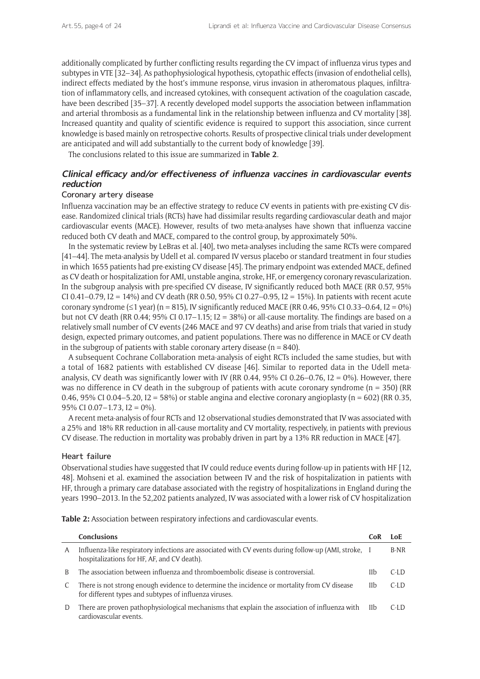additionally complicated by further conflicting results regarding the CV impact of influenza virus types and subtypes in VTE [32–34]. As pathophysiological hypothesis, cytopathic effects (invasion of endothelial cells), indirect effects mediated by the host's immune response, virus invasion in atheromatous plaques, infiltration of inflammatory cells, and increased cytokines, with consequent activation of the coagulation cascade, have been described [35–37]. A recently developed model supports the association between inflammation and arterial thrombosis as a fundamental link in the relationship between influenza and CV mortality [38]. Increased quantity and quality of scientific evidence is required to support this association, since current knowledge is based mainly on retrospective cohorts. Results of prospective clinical trials under development are anticipated and will add substantially to the current body of knowledge [39].

The conclusions related to this issue are summarized in **Table 2**.

## **Clinical efficacy and/or effectiveness of influenza vaccines in cardiovascular events reduction**

#### Coronary artery disease

Influenza vaccination may be an effective strategy to reduce CV events in patients with pre-existing CV disease. Randomized clinical trials (RCTs) have had dissimilar results regarding cardiovascular death and major cardiovascular events (MACE). However, results of two meta-analyses have shown that influenza vaccine reduced both CV death and MACE, compared to the control group, by approximately 50%.

In the systematic review by LeBras et al. [40], two meta-analyses including the same RCTs were compared [41–44]. The meta-analysis by Udell et al. compared IV versus placebo or standard treatment in four studies in which 1655 patients had pre-existing CV disease [45]. The primary endpoint was extended MACE, defined as CV death or hospitalization for AMI, unstable angina, stroke, HF, or emergency coronary revascularization. In the subgroup analysis with pre-specified CV disease, IV significantly reduced both MACE (RR 0.57, 95% CI 0.41–0.79, I2 = 14%) and CV death (RR 0.50, 95% CI 0.27–0.95, I2 = 15%). In patients with recent acute coronary syndrome (≤1 year) (n = 815), IV significantly reduced MACE (RR 0.46, 95% CI 0.33–0.64, I2 = 0%) but not CV death (RR 0.44; 95% CI 0.17–1.15; I2 = 38%) or all-cause mortality. The findings are based on a relatively small number of CV events (246 MACE and 97 CV deaths) and arise from trials that varied in study design, expected primary outcomes, and patient populations. There was no difference in MACE or CV death in the subgroup of patients with stable coronary artery disease ( $n = 840$ ).

A subsequent Cochrane Collaboration meta-analysis of eight RCTs included the same studies, but with a total of 1682 patients with established CV disease [46]. Similar to reported data in the Udell metaanalysis, CV death was significantly lower with IV (RR 0.44, 95% CI 0.26–0.76, I2 = 0%). However, there was no difference in CV death in the subgroup of patients with acute coronary syndrome ( $n = 350$ ) (RR 0.46, 95% CI 0.04–5.20, I2 = 58%) or stable angina and elective coronary angioplasty (n = 602) (RR 0.35, 95% CI 0.07 $-1.73$ , I2 = 0%).

A recent meta-analysis of four RCTs and 12 observational studies demonstrated that IV was associated with a 25% and 18% RR reduction in all-cause mortality and CV mortality, respectively, in patients with previous CV disease. The reduction in mortality was probably driven in part by a 13% RR reduction in MACE [47].

#### Heart failure

Observational studies have suggested that IV could reduce events during follow-up in patients with HF [12, 48]. Mohseni et al. examined the association between IV and the risk of hospitalization in patients with HF, through a primary care database associated with the registry of hospitalizations in England during the years 1990–2013. In the 52,202 patients analyzed, IV was associated with a lower risk of CV hospitalization

**Table 2:** Association between respiratory infections and cardiovascular events.

|   | <b>Conclusions</b>                                                                                                                                    | CoR | LoE  |
|---|-------------------------------------------------------------------------------------------------------------------------------------------------------|-----|------|
| A | Influenza-like respiratory infections are associated with CV events during follow-up (AMI, stroke, I<br>hospitalizations for HF, AF, and CV death).   |     | B-NR |
| B | The association between influenza and thromboembolic disease is controversial.                                                                        |     | C-LD |
|   | There is not strong enough evidence to determine the incidence or mortality from CV disease<br>for different types and subtypes of influenza viruses. | IIb | C-LD |
| D | There are proven pathophysiological mechanisms that explain the association of influenza with<br>cardiovascular events.                               | IIb | C-LD |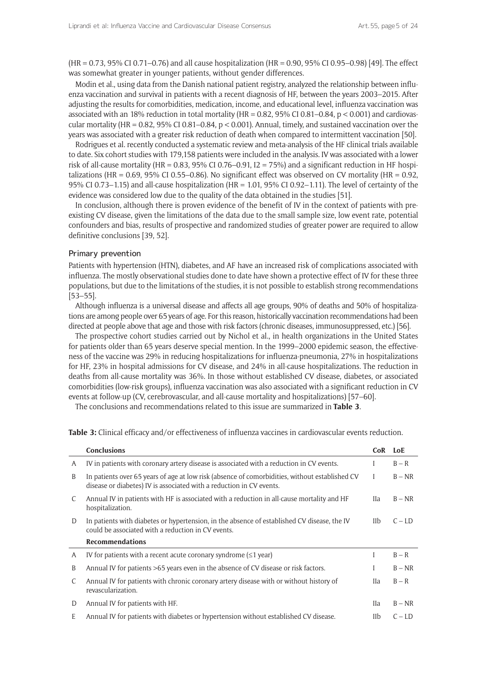(HR = 0.73, 95% CI 0.71–0.76) and all cause hospitalization (HR = 0.90, 95% CI 0.95–0.98) [49]. The effect was somewhat greater in younger patients, without gender differences.

Modin et al., using data from the Danish national patient registry, analyzed the relationship between influenza vaccination and survival in patients with a recent diagnosis of HF, between the years 2003–2015. After adjusting the results for comorbidities, medication, income, and educational level, influenza vaccination was associated with an 18% reduction in total mortality ( $HR = 0.82$ , 95% CI 0.81–0.84, p < 0.001) and cardiovascular mortality (HR = 0.82, 95% CI 0.81–0.84,  $p < 0.001$ ). Annual, timely, and sustained vaccination over the years was associated with a greater risk reduction of death when compared to intermittent vaccination [50].

Rodrigues et al. recently conducted a systematic review and meta-analysis of the HF clinical trials available to date. Six cohort studies with 179,158 patients were included in the analysis. IV was associated with a lower risk of all-cause mortality (HR = 0.83, 95% CI 0.76–0.91,  $I2 = 75%$ ) and a significant reduction in HF hospitalizations (HR =  $0.69$ , 95% CI 0.55–0.86). No significant effect was observed on CV mortality (HR =  $0.92$ , 95% CI 0.73–1.15) and all-cause hospitalization (HR = 1.01, 95% CI 0.92–1.11). The level of certainty of the evidence was considered low due to the quality of the data obtained in the studies [51].

In conclusion, although there is proven evidence of the benefit of IV in the context of patients with preexisting CV disease, given the limitations of the data due to the small sample size, low event rate, potential confounders and bias, results of prospective and randomized studies of greater power are required to allow definitive conclusions [39, 52].

#### Primary prevention

Patients with hypertension (HTN), diabetes, and AF have an increased risk of complications associated with influenza. The mostly observational studies done to date have shown a protective effect of IV for these three populations, but due to the limitations of the studies, it is not possible to establish strong recommendations [53–55].

Although influenza is a universal disease and affects all age groups, 90% of deaths and 50% of hospitalizations are among people over 65 years of age. For this reason, historically vaccination recommendations had been directed at people above that age and those with risk factors (chronic diseases, immunosuppressed, etc.) [56].

The prospective cohort studies carried out by Nichol et al., in health organizations in the United States for patients older than 65 years deserve special mention. In the 1999–2000 epidemic season, the effectiveness of the vaccine was 29% in reducing hospitalizations for influenza-pneumonia, 27% in hospitalizations for HF, 23% in hospital admissions for CV disease, and 24% in all-cause hospitalizations. The reduction in deaths from all-cause mortality was 36%. In those without established CV disease, diabetes, or associated comorbidities (low-risk groups), influenza vaccination was also associated with a significant reduction in CV events at follow-up (CV, cerebrovascular, and all-cause mortality and hospitalizations) [57–60].

The conclusions and recommendations related to this issue are summarized in **Table 3**.

|   | <b>Conclusions</b>                                                                                                                                                     | <b>CoR</b>  | LoE      |
|---|------------------------------------------------------------------------------------------------------------------------------------------------------------------------|-------------|----------|
| A | IV in patients with coronary artery disease is associated with a reduction in CV events.                                                                               |             | $B - R$  |
| B | In patients over 65 years of age at low risk (absence of comorbidities, without established CV<br>disease or diabetes) IV is associated with a reduction in CV events. |             | $B - NR$ |
| C | Annual IV in patients with HF is associated with a reduction in all-cause mortality and HF<br>hospitalization.                                                         | IIa.        | $B - NR$ |
| D | In patients with diabetes or hypertension, in the absence of established CV disease, the IV<br>could be associated with a reduction in CV events.                      | IIb         | $C - LD$ |
|   | <b>Recommendations</b>                                                                                                                                                 |             |          |
| A | IV for patients with a recent acute coronary syndrome $(\leq 1$ year)                                                                                                  | I           | $B - R$  |
| B | Annual IV for patients >65 years even in the absence of CV disease or risk factors.                                                                                    |             | $B - NR$ |
| C | Annual IV for patients with chronic coronary artery disease with or without history of<br>revascularization.                                                           | IIa         | $B - R$  |
| D | Annual IV for patients with HF.                                                                                                                                        | <b>I</b> la | $B - NR$ |
| E | Annual IV for patients with diabetes or hypertension without established CV disease.                                                                                   | IIb         | $C - LD$ |

**Table 3:** Clinical efficacy and/or effectiveness of influenza vaccines in cardiovascular events reduction.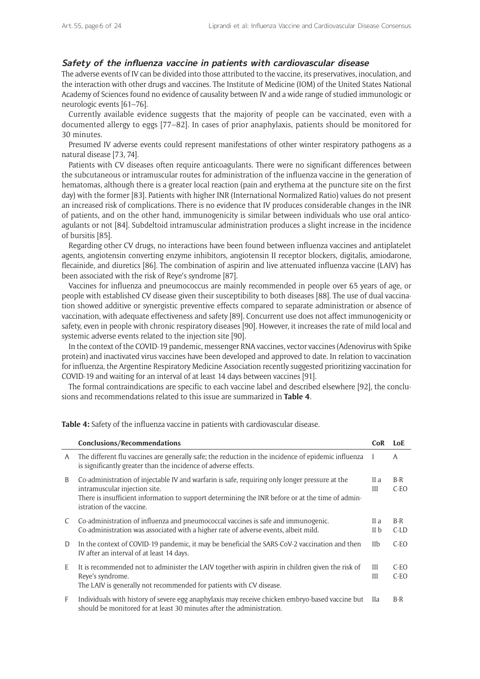## **Safety of the influenza vaccine in patients with cardiovascular disease**

The adverse events of IV can be divided into those attributed to the vaccine, its preservatives, inoculation, and the interaction with other drugs and vaccines. The Institute of Medicine (IOM) of the United States National Academy of Sciences found no evidence of causality between IV and a wide range of studied immunologic or neurologic events [61–76].

Currently available evidence suggests that the majority of people can be vaccinated, even with a documented allergy to eggs [77–82]. In cases of prior anaphylaxis, patients should be monitored for 30 minutes.

Presumed IV adverse events could represent manifestations of other winter respiratory pathogens as a natural disease [73, 74].

Patients with CV diseases often require anticoagulants. There were no significant differences between the subcutaneous or intramuscular routes for administration of the influenza vaccine in the generation of hematomas, although there is a greater local reaction (pain and erythema at the puncture site on the first day) with the former [83]. Patients with higher INR (International Normalized Ratio) values do not present an increased risk of complications. There is no evidence that IV produces considerable changes in the INR of patients, and on the other hand, immunogenicity is similar between individuals who use oral anticoagulants or not [84]. Subdeltoid intramuscular administration produces a slight increase in the incidence of bursitis [85].

Regarding other CV drugs, no interactions have been found between influenza vaccines and antiplatelet agents, angiotensin converting enzyme inhibitors, angiotensin II receptor blockers, digitalis, amiodarone, flecainide, and diuretics [86]. The combination of aspirin and live attenuated influenza vaccine (LAIV) has been associated with the risk of Reye's syndrome [87].

Vaccines for influenza and pneumococcus are mainly recommended in people over 65 years of age, or people with established CV disease given their susceptibility to both diseases [88]. The use of dual vaccination showed additive or synergistic preventive effects compared to separate administration or absence of vaccination, with adequate effectiveness and safety [89]. Concurrent use does not affect immunogenicity or safety, even in people with chronic respiratory diseases [90]. However, it increases the rate of mild local and systemic adverse events related to the injection site [90].

In the context of the COVID-19 pandemic, messenger RNA vaccines, vector vaccines (Adenovirus with Spike protein) and inactivated virus vaccines have been developed and approved to date. In relation to vaccination for influenza, the Argentine Respiratory Medicine Association recently suggested prioritizing vaccination for COVID-19 and waiting for an interval of at least 14 days between vaccines [91].

The formal contraindications are specific to each vaccine label and described elsewhere [92], the conclusions and recommendations related to this issue are summarized in **Table 4**.

|              | <b>Conclusions/Recommendations</b>                                                                                                                                                                                                                               | CoR          | LoE              |
|--------------|------------------------------------------------------------------------------------------------------------------------------------------------------------------------------------------------------------------------------------------------------------------|--------------|------------------|
| A            | The different flu vaccines are generally safe; the reduction in the incidence of epidemic influenza<br>is significantly greater than the incidence of adverse effects.                                                                                           |              | A                |
| B            | Co-administration of injectable IV and warfarin is safe, requiring only longer pressure at the<br>intramuscular injection site.<br>There is insufficient information to support determining the INR before or at the time of admin-<br>istration of the vaccine. | II a<br>Ш    | $B-R$<br>$C-EO$  |
| C            | Co-administration of influenza and pneumococcal vaccines is safe and immunogenic.<br>Co-administration was associated with a higher rate of adverse events, albeit mild.                                                                                         | II a<br>II b | $B-R$<br>$C$ -LD |
| D            | In the context of COVID-19 pandemic, it may be beneficial the SARS-COV-2 vaccination and then<br>IV after an interval of at least 14 days.                                                                                                                       | IIb          | $C-EO$           |
| E            | It is recommended not to administer the LAIV together with aspirin in children given the risk of<br>Reye's syndrome.<br>The LAIV is generally not recommended for patients with CV disease.                                                                      | Ш<br>III     | $C-EO$<br>$C-EO$ |
| $\mathsf{F}$ | Individuals with history of severe egg anaphylaxis may receive chicken embryo-based vaccine but<br>should be monitored for at least 30 minutes after the administration.                                                                                         | <b>IIa</b>   | $B-R$            |

**Table 4:** Safety of the influenza vaccine in patients with cardiovascular disease.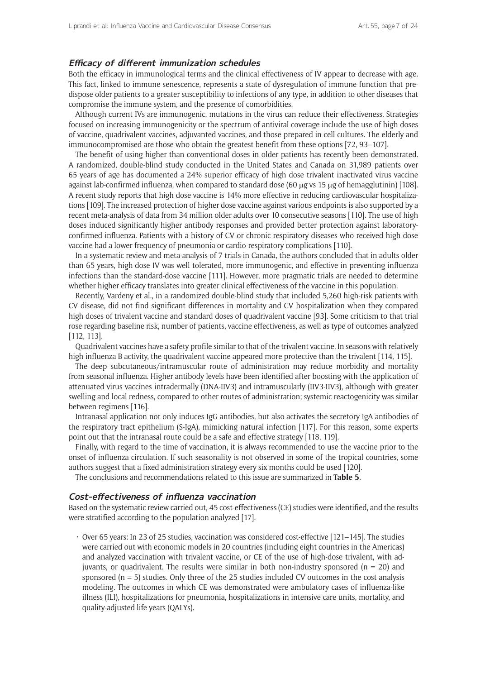#### **Efficacy of different immunization schedules**

Both the efficacy in immunological terms and the clinical effectiveness of IV appear to decrease with age. This fact, linked to immune senescence, represents a state of dysregulation of immune function that predispose older patients to a greater susceptibility to infections of any type, in addition to other diseases that compromise the immune system, and the presence of comorbidities.

Although current IVs are immunogenic, mutations in the virus can reduce their effectiveness. Strategies focused on increasing immunogenicity or the spectrum of antiviral coverage include the use of high doses of vaccine, quadrivalent vaccines, adjuvanted vaccines, and those prepared in cell cultures. The elderly and immunocompromised are those who obtain the greatest benefit from these options [72, 93–107].

The benefit of using higher than conventional doses in older patients has recently been demonstrated. A randomized, double-blind study conducted in the United States and Canada on 31,989 patients over 65 years of age has documented a 24% superior efficacy of high dose trivalent inactivated virus vaccine against lab-confirmed influenza, when compared to standard dose (60 µg vs 15 µg of hemagglutinin) [108]. A recent study reports that high dose vaccine is 14% more effective in reducing cardiovascular hospitalizations [109]. The increased protection of higher dose vaccine against various endpoints is also supported by a recent meta-analysis of data from 34 million older adults over 10 consecutive seasons [110]. The use of high doses induced significantly higher antibody responses and provided better protection against laboratoryconfirmed influenza. Patients with a history of CV or chronic respiratory diseases who received high dose vaccine had a lower frequency of pneumonia or cardio-respiratory complications [110].

In a systematic review and meta-analysis of 7 trials in Canada, the authors concluded that in adults older than 65 years, high-dose IV was well tolerated, more immunogenic, and effective in preventing influenza infections than the standard-dose vaccine [111]. However, more pragmatic trials are needed to determine whether higher efficacy translates into greater clinical effectiveness of the vaccine in this population.

Recently, Vardeny et al., in a randomized double-blind study that included 5,260 high-risk patients with CV disease, did not find significant differences in mortality and CV hospitalization when they compared high doses of trivalent vaccine and standard doses of quadrivalent vaccine [93]. Some criticism to that trial rose regarding baseline risk, number of patients, vaccine effectiveness, as well as type of outcomes analyzed [112, 113].

Quadrivalent vaccines have a safety profile similar to that of the trivalent vaccine. In seasons with relatively high influenza B activity, the quadrivalent vaccine appeared more protective than the trivalent [114, 115].

The deep subcutaneous/intramuscular route of administration may reduce morbidity and mortality from seasonal influenza. Higher antibody levels have been identified after boosting with the application of attenuated virus vaccines intradermally (DNA-IIV3) and intramuscularly (IIV3-IIV3), although with greater swelling and local redness, compared to other routes of administration; systemic reactogenicity was similar between regimens [116].

Intranasal application not only induces IgG antibodies, but also activates the secretory IgA antibodies of the respiratory tract epithelium (S-IgA), mimicking natural infection [117]. For this reason, some experts point out that the intranasal route could be a safe and effective strategy [118, 119].

Finally, with regard to the time of vaccination, it is always recommended to use the vaccine prior to the onset of influenza circulation. If such seasonality is not observed in some of the tropical countries, some authors suggest that a fixed administration strategy every six months could be used [120].

The conclusions and recommendations related to this issue are summarized in **Table 5**.

## **Cost-effectiveness of influenza vaccination**

Based on the systematic review carried out, 45 cost-effectiveness (CE) studies were identified, and the results were stratified according to the population analyzed [17].

 $\cdot$  Over 65 years: In 23 of 25 studies, vaccination was considered cost-effective [121–145]. The studies were carried out with economic models in 20 countries (including eight countries in the Americas) and analyzed vaccination with trivalent vaccine, or CE of the use of high-dose trivalent, with adjuvants, or quadrivalent. The results were similar in both non-industry sponsored ( $n = 20$ ) and sponsored  $(n = 5)$  studies. Only three of the 25 studies included CV outcomes in the cost analysis modeling. The outcomes in which CE was demonstrated were ambulatory cases of influenza-like illness (ILI), hospitalizations for pneumonia, hospitalizations in intensive care units, mortality, and quality-adjusted life years (QALYs).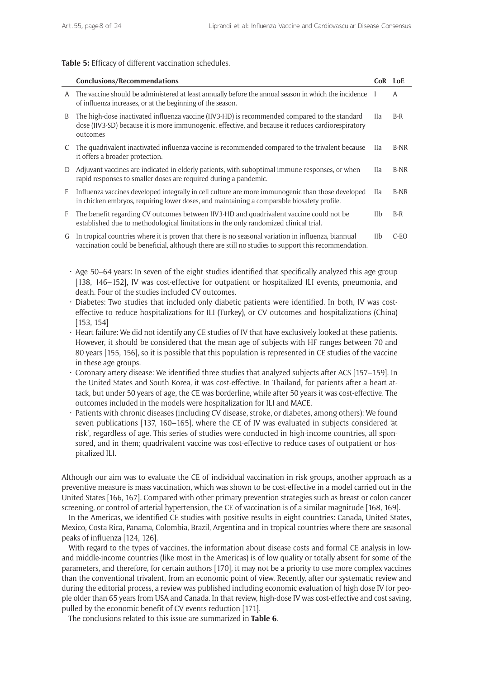#### **Table 5:** Efficacy of different vaccination schedules.

|   | <b>Conclusions/Recommendations</b>                                                                                                                                                                              | CoR LoE     |        |
|---|-----------------------------------------------------------------------------------------------------------------------------------------------------------------------------------------------------------------|-------------|--------|
| A | The vaccine should be administered at least annually before the annual season in which the incidence I<br>of influenza increases, or at the beginning of the season.                                            |             | A      |
| B | The high-dose inactivated influenza vaccine (IIV3-HD) is recommended compared to the standard<br>dose (IIV3-SD) because it is more immunogenic, effective, and because it reduces cardiorespiratory<br>outcomes | IIa         | $B-R$  |
| C | The quadrivalent inactivated influenza vaccine is recommended compared to the trivalent because<br>it offers a broader protection.                                                                              | IIa         | B-NR   |
| D | Adjuvant vaccines are indicated in elderly patients, with suboptimal immune responses, or when<br>rapid responses to smaller doses are required during a pandemic.                                              | <b>Ila</b>  | B-NR   |
| E | Influenza vaccines developed integrally in cell culture are more immunogenic than those developed<br>in chicken embryos, requiring lower doses, and maintaining a comparable biosafety profile.                 | <b>I</b> la | B-NR   |
| F | The benefit regarding CV outcomes between IIV3-HD and quadrivalent vaccine could not be<br>established due to methodological limitations in the only randomized clinical trial.                                 | IIb         | $B-R$  |
| G | In tropical countries where it is proven that there is no seasonal variation in influenza, biannual<br>vaccination could be beneficial, although there are still no studies to support this recommendation.     | IIb         | $C-EO$ |

- $\cdot$  Age 50–64 years: In seven of the eight studies identified that specifically analyzed this age group [138, 146–152], IV was cost-effective for outpatient or hospitalized ILI events, pneumonia, and death. Four of the studies included CV outcomes.
- • Diabetes: Two studies that included only diabetic patients were identified. In both, IV was costeffective to reduce hospitalizations for ILI (Turkey), or CV outcomes and hospitalizations (China) [153, 154]
- • Heart failure: We did not identify any CE studies of IV that have exclusively looked at these patients. However, it should be considered that the mean age of subjects with HF ranges between 70 and 80 years [155, 156], so it is possible that this population is represented in CE studies of the vaccine in these age groups.
- • Coronary artery disease: We identified three studies that analyzed subjects after ACS [157–159]. In the United States and South Korea, it was cost-effective. In Thailand, for patients after a heart attack, but under 50 years of age, the CE was borderline, while after 50 years it was cost-effective. The outcomes included in the models were hospitalization for ILI and MACE.
- • Patients with chronic diseases (including CV disease, stroke, or diabetes, among others): We found seven publications [137, 160–165], where the CE of IV was evaluated in subjects considered 'at risk', regardless of age. This series of studies were conducted in high-income countries, all sponsored, and in them; quadrivalent vaccine was cost-effective to reduce cases of outpatient or hospitalized ILI.

Although our aim was to evaluate the CE of individual vaccination in risk groups, another approach as a preventive measure is mass vaccination, which was shown to be cost-effective in a model carried out in the United States [166, 167]. Compared with other primary prevention strategies such as breast or colon cancer screening, or control of arterial hypertension, the CE of vaccination is of a similar magnitude [168, 169].

In the Americas, we identified CE studies with positive results in eight countries: Canada, United States, Mexico, Costa Rica, Panama, Colombia, Brazil, Argentina and in tropical countries where there are seasonal peaks of influenza [124, 126].

With regard to the types of vaccines, the information about disease costs and formal CE analysis in lowand middle-income countries (like most in the Americas) is of low quality or totally absent for some of the parameters, and therefore, for certain authors [170], it may not be a priority to use more complex vaccines than the conventional trivalent, from an economic point of view. Recently, after our systematic review and during the editorial process, a review was published including economic evaluation of high dose IV for people older than 65 years from USA and Canada. In that review, high-dose IV was cost-effective and cost saving, pulled by the economic benefit of CV events reduction [171].

The conclusions related to this issue are summarized in **Table 6**.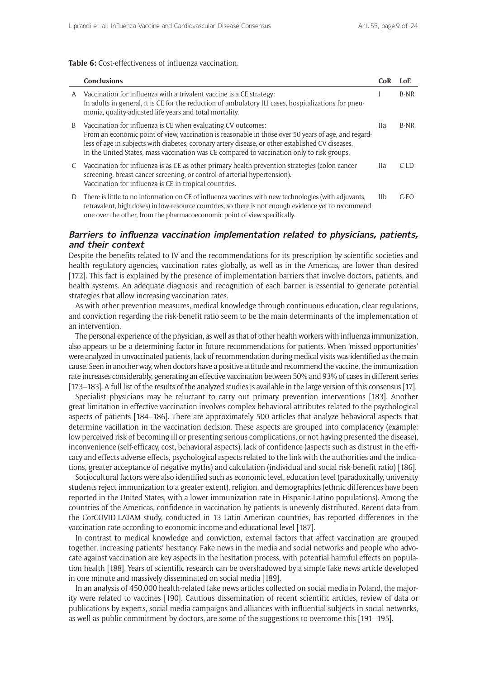#### **Table 6:** Cost-effectiveness of influenza vaccination.

|   | <b>Conclusions</b>                                                                                                                                                                                                                                                                                                                                                      | CoR  | LoE     |
|---|-------------------------------------------------------------------------------------------------------------------------------------------------------------------------------------------------------------------------------------------------------------------------------------------------------------------------------------------------------------------------|------|---------|
| A | Vaccination for influenza with a trivalent vaccine is a CE strategy:<br>In adults in general, it is CE for the reduction of ambulatory ILI cases, hospitalizations for pneu-<br>monia, quality-adjusted life years and total mortality.                                                                                                                                 |      | B-NR    |
| B | Vaccination for influenza is CE when evaluating CV outcomes:<br>From an economic point of view, vaccination is reasonable in those over 50 years of age, and regard-<br>less of age in subjects with diabetes, coronary artery disease, or other established CV diseases.<br>In the United States, mass vaccination was CE compared to vaccination only to risk groups. | Hа   | B-NR    |
| C | Vaccination for influenza is as CE as other primary health prevention strategies (colon cancer<br>screening, breast cancer screening, or control of arterial hypertension).<br>Vaccination for influenza is CE in tropical countries.                                                                                                                                   | IIa. | $C-I.D$ |
| D | There is little to no information on CE of influenza vaccines with new technologies (with adjuvants,<br>tetravalent, high doses) in low-resource countries, so there is not enough evidence yet to recommend<br>one over the other, from the pharmacoeconomic point of view specifically.                                                                               | IIb  | $C-FO$  |

#### **Barriers to influenza vaccination implementation related to physicians, patients, and their context**

Despite the benefits related to IV and the recommendations for its prescription by scientific societies and health regulatory agencies, vaccination rates globally, as well as in the Americas, are lower than desired [172]. This fact is explained by the presence of implementation barriers that involve doctors, patients, and health systems. An adequate diagnosis and recognition of each barrier is essential to generate potential strategies that allow increasing vaccination rates.

As with other prevention measures, medical knowledge through continuous education, clear regulations, and conviction regarding the risk-benefit ratio seem to be the main determinants of the implementation of an intervention.

The personal experience of the physician, as well as that of other health workers with influenza immunization, also appears to be a determining factor in future recommendations for patients. When 'missed opportunities' were analyzed in unvaccinated patients, lack of recommendation during medical visits was identified as the main cause. Seen in another way, when doctors have a positive attitude and recommend the vaccine, the immunization rate increases considerably, generating an effective vaccination between 50% and 93% of cases in different series [173–183]. A full list of the results of the analyzed studies is available in the large version of this consensus [17].

Specialist physicians may be reluctant to carry out primary prevention interventions [183]. Another great limitation in effective vaccination involves complex behavioral attributes related to the psychological aspects of patients [184–186]. There are approximately 500 articles that analyze behavioral aspects that determine vacillation in the vaccination decision. These aspects are grouped into complacency (example: low perceived risk of becoming ill or presenting serious complications, or not having presented the disease), inconvenience (self-efficacy, cost, behavioral aspects), lack of confidence (aspects such as distrust in the efficacy and effects adverse effects, psychological aspects related to the link with the authorities and the indications, greater acceptance of negative myths) and calculation (individual and social risk-benefit ratio) [186].

Sociocultural factors were also identified such as economic level, education level (paradoxically, university students reject immunization to a greater extent), religion, and demographics (ethnic differences have been reported in the United States, with a lower immunization rate in Hispanic-Latino populations). Among the countries of the Americas, confidence in vaccination by patients is unevenly distributed. Recent data from the CorCOVID-LATAM study, conducted in 13 Latin American countries, has reported differences in the vaccination rate according to economic income and educational level [187].

In contrast to medical knowledge and conviction, external factors that affect vaccination are grouped together, increasing patients' hesitancy. Fake news in the media and social networks and people who advocate against vaccination are key aspects in the hesitation process, with potential harmful effects on population health [188]. Years of scientific research can be overshadowed by a simple fake news article developed in one minute and massively disseminated on social media [189].

In an analysis of 450,000 health-related fake news articles collected on social media in Poland, the majority were related to vaccines [190]. Cautious dissemination of recent scientific articles, review of data or publications by experts, social media campaigns and alliances with influential subjects in social networks, as well as public commitment by doctors, are some of the suggestions to overcome this [191–195].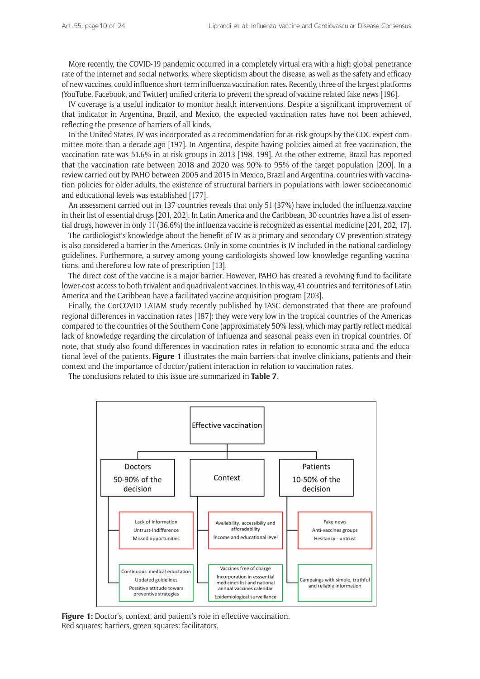More recently, the COVID-19 pandemic occurred in a completely virtual era with a high global penetrance rate of the internet and social networks, where skepticism about the disease, as well as the safety and efficacy of new vaccines, could influence short-term influenza vaccination rates. Recently, three of the largest platforms (YouTube, Facebook, and Twitter) unified criteria to prevent the spread of vaccine related fake news [196].

IV coverage is a useful indicator to monitor health interventions. Despite a significant improvement of that indicator in Argentina, Brazil, and Mexico, the expected vaccination rates have not been achieved, reflecting the presence of barriers of all kinds.

In the United States, IV was incorporated as a recommendation for at-risk groups by the CDC expert committee more than a decade ago [197]. In Argentina, despite having policies aimed at free vaccination, the vaccination rate was 51.6% in at-risk groups in 2013 [198, 199]. At the other extreme, Brazil has reported that the vaccination rate between 2018 and 2020 was 90% to 95% of the target population [200]. In a review carried out by PAHO between 2005 and 2015 in Mexico, Brazil and Argentina, countries with vaccination policies for older adults, the existence of structural barriers in populations with lower socioeconomic and educational levels was established [177].

An assessment carried out in 137 countries reveals that only 51 (37%) have included the influenza vaccine in their list of essential drugs [201, 202]. In Latin America and the Caribbean, 30 countries have a list of essential drugs, however in only 11 (36.6%) the influenza vaccine is recognized as essential medicine [201, 202, 17].

The cardiologist's knowledge about the benefit of IV as a primary and secondary CV prevention strategy is also considered a barrier in the Americas. Only in some countries is IV included in the national cardiology guidelines. Furthermore, a survey among young cardiologists showed low knowledge regarding vaccinations, and therefore a low rate of prescription [13].

The direct cost of the vaccine is a major barrier. However, PAHO has created a revolving fund to facilitate lower-cost access to both trivalent and quadrivalent vaccines. In this way, 41 countries and territories of Latin America and the Caribbean have a facilitated vaccine acquisition program [203].

Finally, the CorCOVID LATAM study recently published by IASC demonstrated that there are profound regional differences in vaccination rates [187]: they were very low in the tropical countries of the Americas compared to the countries of the Southern Cone (approximately 50% less), which may partly reflect medical lack of knowledge regarding the circulation of influenza and seasonal peaks even in tropical countries. Of note, that study also found differences in vaccination rates in relation to economic strata and the educational level of the patients. **Figure 1** illustrates the main barriers that involve clinicians, patients and their context and the importance of doctor/patient interaction in relation to vaccination rates.

The conclusions related to this issue are summarized in **Table 7**.



Figure 1: Doctor's, context, and patient's role in effective vaccination. Red squares: barriers, green squares: facilitators.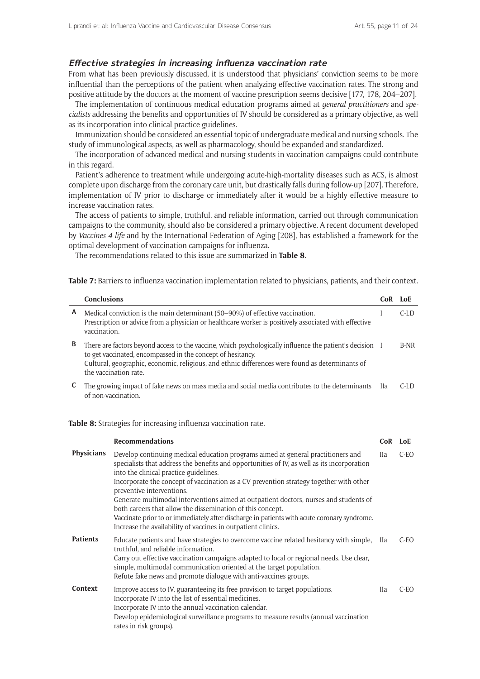### **Effective strategies in increasing influenza vaccination rate**

From what has been previously discussed, it is understood that physicians' conviction seems to be more influential than the perceptions of the patient when analyzing effective vaccination rates. The strong and positive attitude by the doctors at the moment of vaccine prescription seems decisive [177, 178, 204–207].

The implementation of continuous medical education programs aimed at *general practitioners* and *specialists* addressing the benefits and opportunities of IV should be considered as a primary objective, as well as its incorporation into clinical practice guidelines.

Immunization should be considered an essential topic of undergraduate medical and nursing schools. The study of immunological aspects, as well as pharmacology, should be expanded and standardized.

The incorporation of advanced medical and nursing students in vaccination campaigns could contribute in this regard.

Patient's adherence to treatment while undergoing acute-high-mortality diseases such as ACS, is almost complete upon discharge from the coronary care unit, but drastically falls during follow-up [207]. Therefore, implementation of IV prior to discharge or immediately after it would be a highly effective measure to increase vaccination rates.

The access of patients to simple, truthful, and reliable information, carried out through communication campaigns to the community, should also be considered a primary objective. A recent document developed by *Vaccines 4 life* and by the International Federation of Aging [208], has established a framework for the optimal development of vaccination campaigns for influenza.

The recommendations related to this issue are summarized in **Table 8**.

**Table 7:** Barriers to influenza vaccination implementation related to physicians, patients, and their context.

|   | <b>Conclusions</b>                                                                                                                                                                                                                                                                                  | CoR | LoE     |
|---|-----------------------------------------------------------------------------------------------------------------------------------------------------------------------------------------------------------------------------------------------------------------------------------------------------|-----|---------|
| A | Medical conviction is the main determinant (50–90%) of effective vaccination.<br>Prescription or advice from a physician or healthcare worker is positively associated with effective<br>vaccination.                                                                                               |     | $C-I$   |
| B | There are factors beyond access to the vaccine, which psychologically influence the patient's decision I<br>to get vaccinated, encompassed in the concept of hesitancy.<br>Cultural, geographic, economic, religious, and ethnic differences were found as determinants of<br>the vaccination rate. |     | $B-NR$  |
|   | The growing impact of fake news on mass media and social media contributes to the determinants IIa<br>of non-vaccination                                                                                                                                                                            |     | $C-I$ D |

**Table 8:** Strategies for increasing influenza vaccination rate.

|                   | <b>Recommendations</b>                                                                                                                                                                                                                                                                                                                                                                                                                                                                                                                                                                                                                                                 | CoR LoE    |        |
|-------------------|------------------------------------------------------------------------------------------------------------------------------------------------------------------------------------------------------------------------------------------------------------------------------------------------------------------------------------------------------------------------------------------------------------------------------------------------------------------------------------------------------------------------------------------------------------------------------------------------------------------------------------------------------------------------|------------|--------|
| <b>Physicians</b> | Develop continuing medical education programs aimed at general practitioners and<br>specialists that address the benefits and opportunities of IV, as well as its incorporation<br>into the clinical practice guidelines.<br>Incorporate the concept of vaccination as a CV prevention strategy together with other<br>preventive interventions.<br>Generate multimodal interventions aimed at outpatient doctors, nurses and students of<br>both careers that allow the dissemination of this concept.<br>Vaccinate prior to or immediately after discharge in patients with acute coronary syndrome.<br>Increase the availability of vaccines in outpatient clinics. | IIa        | C-EO   |
| <b>Patients</b>   | Educate patients and have strategies to overcome vaccine related hesitancy with simple,<br>truthful, and reliable information.<br>Carry out effective vaccination campaigns adapted to local or regional needs. Use clear,<br>simple, multimodal communication oriented at the target population.<br>Refute fake news and promote dialogue with anti-vaccines groups.                                                                                                                                                                                                                                                                                                  | <b>IIa</b> | $C-EO$ |
| <b>Context</b>    | Improve access to IV, guaranteeing its free provision to target populations.<br>Incorporate IV into the list of essential medicines.<br>Incorporate IV into the annual vaccination calendar.<br>Develop epidemiological surveillance programs to measure results (annual vaccination<br>rates in risk groups).                                                                                                                                                                                                                                                                                                                                                         | <b>IIa</b> | C-EO   |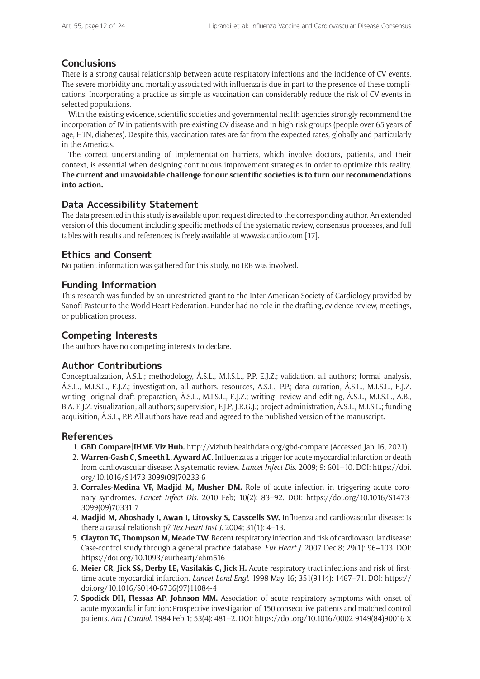## **Conclusions**

There is a strong causal relationship between acute respiratory infections and the incidence of CV events. The severe morbidity and mortality associated with influenza is due in part to the presence of these complications. Incorporating a practice as simple as vaccination can considerably reduce the risk of CV events in selected populations.

With the existing evidence, scientific societies and governmental health agencies strongly recommend the incorporation of IV in patients with pre-existing CV disease and in high-risk groups (people over 65 years of age, HTN, diabetes). Despite this, vaccination rates are far from the expected rates, globally and particularly in the Americas.

The correct understanding of implementation barriers, which involve doctors, patients, and their context, is essential when designing continuous improvement strategies in order to optimize this reality. **The current and unavoidable challenge for our scientific societies is to turn our recommendations into action.**

## **Data Accessibility Statement**

The data presented in this study is available upon request directed to the corresponding author. An extended version of this document including specific methods of the systematic review, consensus processes, and full tables with results and references; is freely available at [www.siacardio.com](http://www.siacardio.com) [17].

## **Ethics and Consent**

No patient information was gathered for this study, no IRB was involved.

## **Funding Information**

This research was funded by an unrestricted grant to the Inter-American Society of Cardiology provided by Sanofi Pasteur to the World Heart Federation. Funder had no role in the drafting, evidence review, meetings, or publication process.

## **Competing Interests**

The authors have no competing interests to declare.

## **Author Contributions**

Conceptualization, Á.S.L.; methodology, Á.S.L., M.I.S.L., P.P. E.J.Z.; validation, all authors; formal analysis, Á.S.L., M.I.S.L., E.J.Z.; investigation, all authors. resources, A.S.L., P.P.; data curation, Á.S.L., M.I.S.L., E.J.Z. writing—original draft preparation, Á.S.L., M.I.S.L., E.J.Z.; writing—review and editing, Á.S.L., M.I.S.L., A.B., B.A. E.J.Z. visualization, all authors; supervision, F.J.P, J.R.G.J.; project administration, Á.S.L., M.I.S.L.; funding acquisition, Á.S.L., P.P. All authors have read and agreed to the published version of the manuscript.

## **References**

- 1. **GBD Compare|IHME Viz Hub.** <http://vizhub.healthdata.org/gbd-compare>(Accessed Jan 16, 2021).
- 2. **Warren-Gash C, Smeeth L, Ayward AC.** Influenza as a trigger for acute myocardial infarction or death from cardiovascular disease: A systematic review. *Lancet Infect Dis*. 2009; 9: 601–10. DOI: [https://doi.](https://doi.org/10.1016/S1473-3099(09)70233-6) [org/10.1016/S1473-3099\(09\)70233-6](https://doi.org/10.1016/S1473-3099(09)70233-6)
- 3. **Corrales-Medina VF, Madjid M, Musher DM.** Role of acute infection in triggering acute coronary syndromes. *Lancet Infect Dis*. 2010 Feb; 10(2): 83–92. DOI: [https://doi.org/10.1016/S1473-](https://doi.org/10.1016/S1473-3099(09)70331-7) [3099\(09\)70331-7](https://doi.org/10.1016/S1473-3099(09)70331-7)
- 4. **Madjid M, Aboshady I, Awan I, Litovsky S, Casscells SW.** Influenza and cardiovascular disease: Is there a causal relationship? *Tex Heart Inst J*. 2004; 31(1): 4–13.
- 5. **Clayton TC, Thompson M, Meade TW.** Recent respiratory infection and risk of cardiovascular disease: Case-control study through a general practice database. *Eur Heart J*. 2007 Dec 8; 29(1): 96–103. DOI: <https://doi.org/10.1093/eurheartj/ehm516>
- 6. **Meier CR, Jick SS, Derby LE, Vasilakis C, Jick H.** Acute respiratory-tract infections and risk of firsttime acute myocardial infarction. *Lancet Lond Engl*. 1998 May 16; 351(9114): 1467–71. DOI: [https://](https://doi.org/10.1016/S0140-6736(97)11084-4) [doi.org/10.1016/S0140-6736\(97\)11084-4](https://doi.org/10.1016/S0140-6736(97)11084-4)
- 7. **Spodick DH, Flessas AP, Johnson MM.** Association of acute respiratory symptoms with onset of acute myocardial infarction: Prospective investigation of 150 consecutive patients and matched control patients. *Am J Cardiol*. 1984 Feb 1; 53(4): 481–2. DOI: [https://doi.org/10.1016/0002-9149\(84\)90016-X](https://doi.org/10.1016/0002-9149(84)90016-X)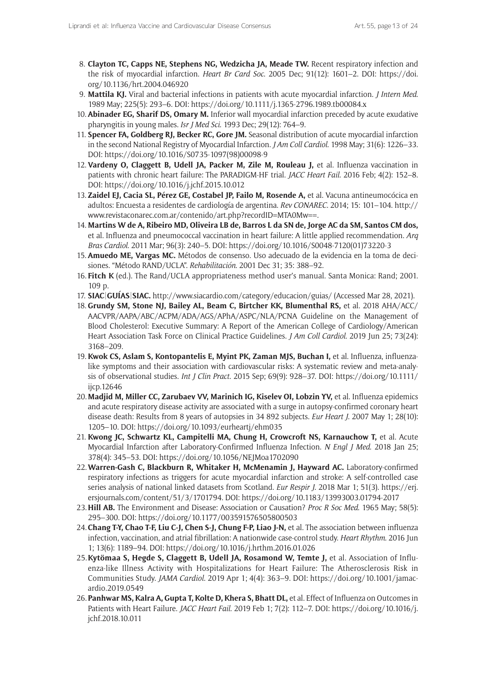- 8. **Clayton TC, Capps NE, Stephens NG, Wedzicha JA, Meade TW.** Recent respiratory infection and the risk of myocardial infarction. *Heart Br Card Soc*. 2005 Dec; 91(12): 1601–2. DOI: [https://doi.](https://doi.org/10.1136/hrt.2004.046920) [org/10.1136/hrt.2004.046920](https://doi.org/10.1136/hrt.2004.046920)
- 9. **Mattila KJ.** Viral and bacterial infections in patients with acute myocardial infarction. *J Intern Med*. 1989 May; 225(5): 293–6. DOI:<https://doi.org/10.1111/j.1365-2796.1989.tb00084.x>
- 10. **Abinader EG, Sharif DS, Omary M.** Inferior wall myocardial infarction preceded by acute exudative pharyngitis in young males. *Isr J Med Sci*. 1993 Dec; 29(12): 764–9.
- 11. **Spencer FA, Goldberg RJ, Becker RC, Gore JM.** Seasonal distribution of acute myocardial infarction in the second National Registry of Myocardial Infarction. *J Am Coll Cardiol*. 1998 May; 31(6): 1226–33. DOI: [https://doi.org/10.1016/S0735-1097\(98\)00098-9](https://doi.org/10.1016/S0735-1097(98)00098-9)
- 12. **Vardeny O, Claggett B, Udell JA, Packer M, Zile M, Rouleau J,** et al. Influenza vaccination in patients with chronic heart failure: The PARADIGM-HF trial. *JACC Heart Fail*. 2016 Feb; 4(2): 152–8. DOI: <https://doi.org/10.1016/j.jchf.2015.10.012>
- 13. **Zaidel EJ, Cacia SL, Pérez GE, Costabel JP, Failo M, Rosende A,** et al. Vacuna antineumocócica en adultos: Encuesta a residentes de cardiología de argentina. *Rev CONAREC*. 2014; 15: 101–104. [http://](http://www.revistaconarec.com.ar/contenido/art.php?recordID=MTA0Mw==) [www.revistaconarec.com.ar/contenido/art.php?recordID=MTA0Mw==](http://www.revistaconarec.com.ar/contenido/art.php?recordID=MTA0Mw==).
- 14. **Martins W de A, Ribeiro MD, Oliveira LB de, Barros L da SN de, Jorge AC da SM, Santos CM dos,**  et al. Influenza and pneumococcal vaccination in heart failure: A little applied recommendation. *Arq Bras Cardiol*. 2011 Mar; 96(3): 240–5. DOI: [https://doi.org/10.1016/S0048-7120\(01\)73220-3](https://doi.org/10.1016/S0048-7120(01)73220-3)
- 15. **Amuedo ME, Vargas MC.** Métodos de consenso. Uso adecuado de la evidencia en la toma de decisiones. "Método RAND/UCLA". *Rehabilitación*. 2001 Dec 31; 35: 388–92.
- 16. **Fitch K** (ed.). The Rand/UCLA appropriateness method user's manual. Santa Monica: Rand; 2001. 109 p.
- 17. **SIAC|GUÍAS|SIAC.** <http://www.siacardio.com/category/educacion/guias/>(Accessed Mar 28, 2021).
- 18. **Grundy SM, Stone NJ, Bailey AL, Beam C, Birtcher KK, Blumenthal RS,** et al. 2018 AHA/ACC/ AACVPR/AAPA/ABC/ACPM/ADA/AGS/APhA/ASPC/NLA/PCNA Guideline on the Management of Blood Cholesterol: Executive Summary: A Report of the American College of Cardiology/American Heart Association Task Force on Clinical Practice Guidelines. *J Am Coll Cardiol*. 2019 Jun 25; 73(24): 3168–209.
- 19. **Kwok CS, Aslam S, Kontopantelis E, Myint PK, Zaman MJS, Buchan I,** et al. Influenza, influenzalike symptoms and their association with cardiovascular risks: A systematic review and meta-analysis of observational studies. *Int J Clin Pract*. 2015 Sep; 69(9): 928–37. DOI: [https://doi.org/10.1111/](https://doi.org/10.1111/ijcp.12646) [ijcp.12646](https://doi.org/10.1111/ijcp.12646)
- 20. **Madjid M, Miller CC, Zarubaev VV, Marinich IG, Kiselev OI, Lobzin YV,** et al. Influenza epidemics and acute respiratory disease activity are associated with a surge in autopsy-confirmed coronary heart disease death: Results from 8 years of autopsies in 34 892 subjects. *Eur Heart J*. 2007 May 1; 28(10): 1205–10. DOI: <https://doi.org/10.1093/eurheartj/ehm035>
- 21. **Kwong JC, Schwartz KL, Campitelli MA, Chung H, Crowcroft NS, Karnauchow T,** et al. Acute Myocardial Infarction after Laboratory-Confirmed Influenza Infection. *N Engl J Med*. 2018 Jan 25; 378(4): 345–53. DOI: <https://doi.org/10.1056/NEJMoa1702090>
- 22.**Warren-Gash C, Blackburn R, Whitaker H, McMenamin J, Hayward AC.** Laboratory-confirmed respiratory infections as triggers for acute myocardial infarction and stroke: A self-controlled case series analysis of national linked datasets from Scotland. *Eur Respir J*. 2018 Mar 1; 51(3). [https://erj.](https://erj.ersjournals.com/content/51/3/1701794) [ersjournals.com/content/51/3/1701794.](https://erj.ersjournals.com/content/51/3/1701794) DOI: <https://doi.org/10.1183/13993003.01794-2017>
- 23.**Hill AB.** The Environment and Disease: Association or Causation? *Proc R Soc Med*. 1965 May; 58(5): 295–300. DOI:<https://doi.org/10.1177/003591576505800503>
- 24.**Chang T-Y, Chao T-F, Liu C-J, Chen S-J, Chung F-P, Liao J-N,** et al. The association between influenza infection, vaccination, and atrial fibrillation: A nationwide case-control study. *Heart Rhythm*. 2016 Jun 1; 13(6): 1189–94. DOI:<https://doi.org/10.1016/j.hrthm.2016.01.026>
- 25.**Kytömaa S, Hegde S, Claggett B, Udell JA, Rosamond W, Temte J,** et al. Association of Influenza-like Illness Activity with Hospitalizations for Heart Failure: The Atherosclerosis Risk in Communities Study. *JAMA Cardiol*. 2019 Apr 1; 4(4): 363–9. DOI: [https://doi.org/10.1001/jamac](https://doi.org/10.1001/jamacardio.2019.0549)[ardio.2019.0549](https://doi.org/10.1001/jamacardio.2019.0549)
- 26. **Panhwar MS, Kalra A, Gupta T, Kolte D, Khera S, Bhatt DL,** et al. Effect of Influenza on Outcomes in Patients with Heart Failure. *JACC Heart Fail*. 2019 Feb 1; 7(2): 112–7. DOI: [https://doi.org/10.1016/j.](https://doi.org/10.1016/j.jchf.2018.10.011) [jchf.2018.10.011](https://doi.org/10.1016/j.jchf.2018.10.011)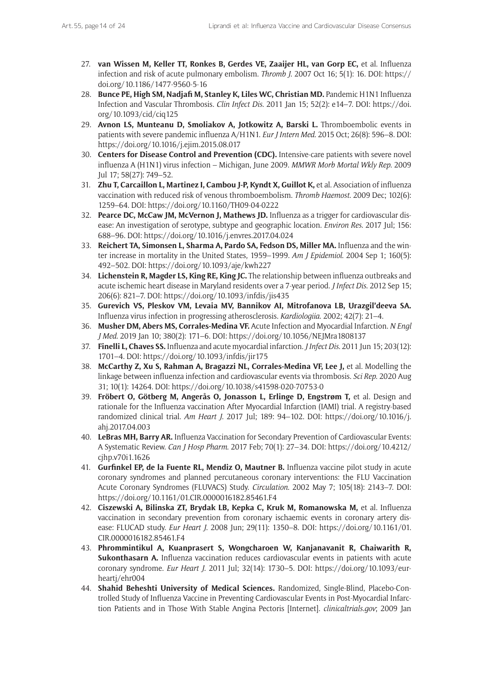- 27. **van Wissen M, Keller TT, Ronkes B, Gerdes VE, Zaaijer HL, van Gorp EC,** et al. Influenza infection and risk of acute pulmonary embolism. *Thromb J*. 2007 Oct 16; 5(1): 16. DOI: [https://](https://doi.org/10.1186/1477-9560-5-16) [doi.org/10.1186/1477-9560-5-16](https://doi.org/10.1186/1477-9560-5-16)
- 28. **Bunce PE, High SM, Nadjafi M, Stanley K, Liles WC, Christian MD.** Pandemic H1N1 Influenza Infection and Vascular Thrombosis. *Clin Infect Dis*. 2011 Jan 15; 52(2): e14–7. DOI: [https://doi.](https://doi.org/10.1093/cid/ciq125) [org/10.1093/cid/ciq125](https://doi.org/10.1093/cid/ciq125)
- 29. **Avnon LS, Munteanu D, Smoliakov A, Jotkowitz A, Barski L.** Thromboembolic events in patients with severe pandemic influenza A/H1N1. *Eur J Intern Med*. 2015 Oct; 26(8): 596–8. DOI: <https://doi.org/10.1016/j.ejim.2015.08.017>
- 30. **Centers for Disease Control and Prevention (CDC).** Intensive-care patients with severe novel influenza A (H1N1) virus infection – Michigan, June 2009. *MMWR Morb Mortal Wkly Rep*. 2009 Jul 17; 58(27): 749–52.
- 31. **Zhu T, Carcaillon L, Martinez I, Cambou J-P, Kyndt X, Guillot K,** et al. Association of influenza vaccination with reduced risk of venous thromboembolism. *Thromb Haemost*. 2009 Dec; 102(6): 1259–64. DOI:<https://doi.org/10.1160/TH09-04-0222>
- 32. **Pearce DC, McCaw JM, McVernon J, Mathews JD.** Influenza as a trigger for cardiovascular disease: An investigation of serotype, subtype and geographic location. *Environ Res*. 2017 Jul; 156: 688–96. DOI: <https://doi.org/10.1016/j.envres.2017.04.024>
- 33. **Reichert TA, Simonsen L, Sharma A, Pardo SA, Fedson DS, Miller MA.** Influenza and the winter increase in mortality in the United States, 1959–1999. *Am J Epidemiol*. 2004 Sep 1; 160(5): 492–502. DOI: <https://doi.org/10.1093/aje/kwh227>
- 34. **Lichenstein R, Magder LS, King RE, King JC.** The relationship between influenza outbreaks and acute ischemic heart disease in Maryland residents over a 7-year period. *J Infect Dis*. 2012 Sep 15; 206(6): 821–7. DOI:<https://doi.org/10.1093/infdis/jis435>
- 35. **Gurevich VS, Pleskov VM, Levaia MV, Bannikov AI, Mitrofanova LB, Urazgil'deeva SA.** Influenza virus infection in progressing atherosclerosis. *Kardiologiia*. 2002; 42(7): 21–4.
- 36. **Musher DM, Abers MS, Corrales-Medina VF.** Acute Infection and Myocardial Infarction. *N Engl J Med*. 2019 Jan 10; 380(2): 171–6. DOI:<https://doi.org/10.1056/NEJMra1808137>
- 37. **Finelli L, Chaves SS.** Influenza and acute myocardial infarction. *J Infect Dis*. 2011 Jun 15; 203(12): 1701–4. DOI: <https://doi.org/10.1093/infdis/jir175>
- 38. **McCarthy Z, Xu S, Rahman A, Bragazzi NL, Corrales-Medina VF, Lee J,** et al. Modelling the linkage between influenza infection and cardiovascular events via thrombosis. *Sci Rep*. 2020 Aug 31; 10(1): 14264. DOI:<https://doi.org/10.1038/s41598-020-70753-0>
- 39. **Fröbert O, Götberg M, Angerås O, Jonasson L, Erlinge D, Engstrøm T,** et al. Design and rationale for the Influenza vaccination After Myocardial Infarction (IAMI) trial. A registry-based randomized clinical trial. *Am Heart J*. 2017 Jul; 189: 94–102. DOI: [https://doi.org/10.1016/j.](https://doi.org/10.1016/j.ahj.2017.04.003) [ahj.2017.04.003](https://doi.org/10.1016/j.ahj.2017.04.003)
- 40. **LeBras MH, Barry AR.** Influenza Vaccination for Secondary Prevention of Cardiovascular Events: A Systematic Review. *Can J Hosp Pharm*. 2017 Feb; 70(1): 27–34. DOI: [https://doi.org/10.4212/](https://doi.org/10.4212/cjhp.v70i1.1626) [cjhp.v70i1.1626](https://doi.org/10.4212/cjhp.v70i1.1626)
- 41. **Gurfinkel EP, de la Fuente RL, Mendiz O, Mautner B.** Influenza vaccine pilot study in acute coronary syndromes and planned percutaneous coronary interventions: the FLU Vaccination Acute Coronary Syndromes (FLUVACS) Study. *Circulation*. 2002 May 7; 105(18): 2143–7. DOI: <https://doi.org/10.1161/01.CIR.0000016182.85461.F4>
- 42. **Ciszewski A, Bilinska ZT, Brydak LB, Kepka C, Kruk M, Romanowska M,** et al. Influenza vaccination in secondary prevention from coronary ischaemic events in coronary artery disease: FLUCAD study. *Eur Heart J*. 2008 Jun; 29(11): 1350–8. DOI: [https://doi.org/10.1161/01.](https://doi.org/10.1161/01.CIR.0000016182.85461.F4) [CIR.0000016182.85461.F4](https://doi.org/10.1161/01.CIR.0000016182.85461.F4)
- 43. **Phrommintikul A, Kuanprasert S, Wongcharoen W, Kanjanavanit R, Chaiwarith R, Sukonthasarn A.** Influenza vaccination reduces cardiovascular events in patients with acute coronary syndrome. *Eur Heart J*. 2011 Jul; 32(14): 1730–5. DOI: [https://doi.org/10.1093/eur](https://doi.org/10.1093/eurheartj/ehr004)[heartj/ehr004](https://doi.org/10.1093/eurheartj/ehr004)
- 44. **Shahid Beheshti University of Medical Sciences.** Randomized, Single-Blind, Placebo-Controlled Study of Influenza Vaccine in Preventing Cardiovascular Events in Post-Myocardial Infarction Patients and in Those With Stable Angina Pectoris [Internet]. *[clinicaltrials.gov](http://clinicaltrials.gov)*; 2009 Jan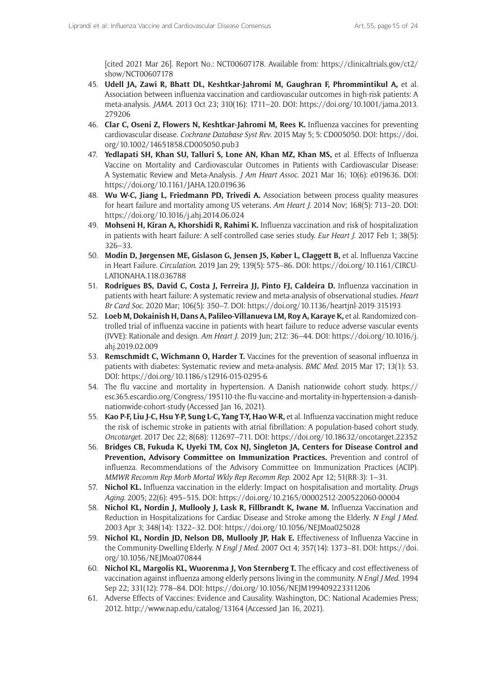[cited 2021 Mar 26]. Report No.: NCT00607178. Available from: [https://clinicaltrials.gov/ct2/](https://clinicaltrials.gov/ct2/show/NCT00607178) [show/NCT00607178](https://clinicaltrials.gov/ct2/show/NCT00607178)

- 45. **Udell JA, Zawi R, Bhatt DL, Keshtkar-Jahromi M, Gaughran F, Phrommintikul A,** et al. Association between influenza vaccination and cardiovascular outcomes in high-risk patients: A meta-analysis. *JAMA*. 2013 Oct 23; 310(16): 1711–20. DOI: [https://doi.org/10.1001/jama.2013.](https://doi.org/10.1001/jama.2013.279206) [279206](https://doi.org/10.1001/jama.2013.279206)
- 46. **Clar C, Oseni Z, Flowers N, Keshtkar-Jahromi M, Rees K.** Influenza vaccines for preventing cardiovascular disease. *Cochrane Database Syst Rev*. 2015 May 5; 5: CD005050. DOI: [https://doi.](https://doi.org/10.1002/14651858.CD005050.pub3) [org/10.1002/14651858.CD005050.pub3](https://doi.org/10.1002/14651858.CD005050.pub3)
- 47. **Yedlapati SH, Khan SU, Talluri S, Lone AN, Khan MZ, Khan MS,** et al. Effects of Influenza Vaccine on Mortality and Cardiovascular Outcomes in Patients with Cardiovascular Disease: A Systematic Review and Meta-Analysis. *J Am Heart Assoc*. 2021 Mar 16; 10(6): e019636. DOI: <https://doi.org/10.1161/JAHA.120.019636>
- 48. **Wu W-C, Jiang L, Friedmann PD, Trivedi A.** Association between process quality measures for heart failure and mortality among US veterans. *Am Heart J*. 2014 Nov; 168(5): 713–20. DOI: <https://doi.org/10.1016/j.ahj.2014.06.024>
- 49. **Mohseni H, Kiran A, Khorshidi R, Rahimi K.** Influenza vaccination and risk of hospitalization in patients with heart failure: A self-controlled case series study. *Eur Heart J*. 2017 Feb 1; 38(5): 326–33.
- 50. **Modin D, Jørgensen ME, Gislason G, Jensen JS, Køber L, Claggett B,** et al. Influenza Vaccine in Heart Failure. *Circulation*. 2019 Jan 29; 139(5): 575–86. DOI: [https://doi.org/10.1161/CIRCU-](https://doi.org/10.1161/CIRCULATIONAHA.118.036788)[LATIONAHA.118.036788](https://doi.org/10.1161/CIRCULATIONAHA.118.036788)
- 51. **Rodrigues BS, David C, Costa J, Ferreira JJ, Pinto FJ, Caldeira D.** Influenza vaccination in patients with heart failure: A systematic review and meta-analysis of observational studies. *Heart Br Card Soc*. 2020 Mar; 106(5): 350–7. DOI: <https://doi.org/10.1136/heartjnl-2019-315193>
- 52. **Loeb M, Dokainish H, Dans A, Palileo-Villanueva LM, Roy A, Karaye K,** et al. Randomized controlled trial of influenza vaccine in patients with heart failure to reduce adverse vascular events (IVVE): Rationale and design. *Am Heart J*. 2019 Jun; 212: 36–44. DOI: [https://doi.org/10.1016/j.](https://doi.org/10.1016/j.ahj.2019.02.009) [ahj.2019.02.009](https://doi.org/10.1016/j.ahj.2019.02.009)
- 53. **Remschmidt C, Wichmann O, Harder T.** Vaccines for the prevention of seasonal influenza in patients with diabetes: Systematic review and meta-analysis. *BMC Med*. 2015 Mar 17; 13(1): 53. DOI: <https://doi.org/10.1186/s12916-015-0295-6>
- 54. The flu vaccine and mortality in hypertension. A Danish nationwide cohort study. [https://](https://esc365.escardio.org/Congress/195110-the-flu-vaccine-and-mortality-in-hypertension-a-danish-nationwide-cohort-study) [esc365.escardio.org/Congress/195110-the-flu-vaccine-and-mortality-in-hypertension-a-danish](https://esc365.escardio.org/Congress/195110-the-flu-vaccine-and-mortality-in-hypertension-a-danish-nationwide-cohort-study)[nationwide-cohort-study](https://esc365.escardio.org/Congress/195110-the-flu-vaccine-and-mortality-in-hypertension-a-danish-nationwide-cohort-study) (Accessed Jan 16, 2021).
- 55. **Kao P-F, Liu J-C, Hsu Y-P, Sung L-C, Yang T-Y, Hao W-R,** et al. Influenza vaccination might reduce the risk of ischemic stroke in patients with atrial fibrillation: A population-based cohort study. *Oncotarget*. 2017 Dec 22; 8(68): 112697–711. DOI:<https://doi.org/10.18632/oncotarget.22352>
- 56. **Bridges CB, Fukuda K, Uyeki TM, Cox NJ, Singleton JA, Centers for Disease Control and Prevention, Advisory Committee on Immunization Practices.** Prevention and control of influenza. Recommendations of the Advisory Committee on Immunization Practices (ACIP). *MMWR Recomm Rep Morb Mortal Wkly Rep Recomm Rep*. 2002 Apr 12; 51(RR-3): 1–31.
- 57. **Nichol KL.** Influenza vaccination in the elderly: Impact on hospitalisation and mortality. *Drugs Aging*. 2005; 22(6): 495–515. DOI:<https://doi.org/10.2165/00002512-200522060-00004>
- 58. **Nichol KL, Nordin J, Mullooly J, Lask R, Fillbrandt K, Iwane M.** Influenza Vaccination and Reduction in Hospitalizations for Cardiac Disease and Stroke among the Elderly. *N Engl J Med*. 2003 Apr 3; 348(14): 1322–32. DOI: <https://doi.org/10.1056/NEJMoa025028>
- 59. **Nichol KL, Nordin JD, Nelson DB, Mullooly JP, Hak E.** Effectiveness of Influenza Vaccine in the Community-Dwelling Elderly. *N Engl J Med*. 2007 Oct 4; 357(14): 1373–81. DOI: [https://doi.](https://doi.org/10.1056/NEJMoa070844) [org/10.1056/NEJMoa070844](https://doi.org/10.1056/NEJMoa070844)
- 60. **Nichol KL, Margolis KL, Wuorenma J, Von Sternberg T.** The efficacy and cost effectiveness of vaccination against influenza among elderly persons living in the community. *N Engl J Med*. 1994 Sep 22; 331(12): 778–84. DOI:<https://doi.org/10.1056/NEJM199409223311206>
- 61. Adverse Effects of Vaccines: Evidence and Causality. Washington, DC: National Academies Press; 2012. <http://www.nap.edu/catalog/13164> (Accessed Jan 16, 2021).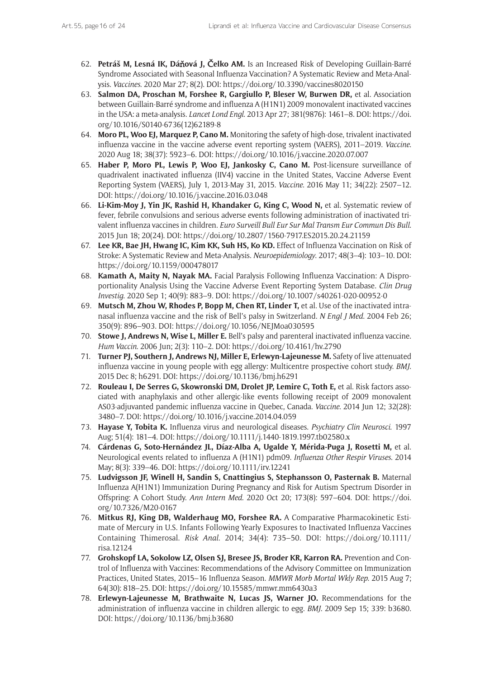- 62. **Petráš M, Lesná IK, Dá**ň**ová J,** Č**elko AM.** Is an Increased Risk of Developing Guillain-Barré Syndrome Associated with Seasonal Influenza Vaccination? A Systematic Review and Meta-Analysis. *Vaccines*. 2020 Mar 27; 8(2). DOI: <https://doi.org/10.3390/vaccines8020150>
- 63. **Salmon DA, Proschan M, Forshee R, Gargiullo P, Bleser W, Burwen DR,** et al. Association between Guillain-Barré syndrome and influenza A (H1N1) 2009 monovalent inactivated vaccines in the USA: a meta-analysis. *Lancet Lond Engl*. 2013 Apr 27; 381(9876): 1461–8. DOI: [https://doi.](https://doi.org/10.1016/S0140-6736(12)62189-8) [org/10.1016/S0140-6736\(12\)62189-8](https://doi.org/10.1016/S0140-6736(12)62189-8)
- 64. **Moro PL, Woo EJ, Marquez P, Cano M.** Monitoring the safety of high-dose, trivalent inactivated influenza vaccine in the vaccine adverse event reporting system (VAERS), 2011–2019. *Vaccine*. 2020 Aug 18; 38(37): 5923–6. DOI:<https://doi.org/10.1016/j.vaccine.2020.07.007>
- 65. **Haber P, Moro PL, Lewis P, Woo EJ, Jankosky C, Cano M.** Post-licensure surveillance of quadrivalent inactivated influenza (IIV4) vaccine in the United States, Vaccine Adverse Event Reporting System (VAERS), July 1, 2013-May 31, 2015. *Vaccine*. 2016 May 11; 34(22): 2507–12. DOI:<https://doi.org/10.1016/j.vaccine.2016.03.048>
- 66. **Li-Kim-Moy J, Yin JK, Rashid H, Khandaker G, King C, Wood N,** et al. Systematic review of fever, febrile convulsions and serious adverse events following administration of inactivated trivalent influenza vaccines in children. *Euro Surveill Bull Eur Sur Mal Transm Eur Commun Dis Bull*. 2015 Jun 18; 20(24). DOI:<https://doi.org/10.2807/1560-7917.ES2015.20.24.21159>
- 67. **Lee KR, Bae JH, Hwang IC, Kim KK, Suh HS, Ko KD.** Effect of Influenza Vaccination on Risk of Stroke: A Systematic Review and Meta-Analysis. *Neuroepidemiology*. 2017; 48(3–4): 103–10. DOI: <https://doi.org/10.1159/000478017>
- 68. **Kamath A, Maity N, Nayak MA.** Facial Paralysis Following Influenza Vaccination: A Disproportionality Analysis Using the Vaccine Adverse Event Reporting System Database. *Clin Drug Investig*. 2020 Sep 1; 40(9): 883–9. DOI:<https://doi.org/10.1007/s40261-020-00952-0>
- 69. **Mutsch M, Zhou W, Rhodes P, Bopp M, Chen RT, Linder T,** et al. Use of the inactivated intranasal influenza vaccine and the risk of Bell's palsy in Switzerland. *N Engl J Med*. 2004 Feb 26; 350(9): 896–903. DOI: <https://doi.org/10.1056/NEJMoa030595>
- 70. **Stowe J, Andrews N, Wise L, Miller E.** Bell's palsy and parenteral inactivated influenza vaccine. *Hum Vaccin*. 2006 Jun; 2(3): 110–2. DOI: <https://doi.org/10.4161/hv.2790>
- 71. **Turner PJ, Southern J, Andrews NJ, Miller E, Erlewyn-Lajeunesse M.** Safety of live attenuated influenza vaccine in young people with egg allergy: Multicentre prospective cohort study. *BMJ*. 2015 Dec 8; h6291. DOI: <https://doi.org/10.1136/bmj.h6291>
- 72. **Rouleau I, De Serres G, Skowronski DM, Drolet JP, Lemire C, Toth E,** et al. Risk factors associated with anaphylaxis and other allergic-like events following receipt of 2009 monovalent AS03-adjuvanted pandemic influenza vaccine in Quebec, Canada. *Vaccine*. 2014 Jun 12; 32(28): 3480–7. DOI: <https://doi.org/10.1016/j.vaccine.2014.04.059>
- 73. **Hayase Y, Tobita K.** Influenza virus and neurological diseases. *Psychiatry Clin Neurosci*. 1997 Aug; 51(4): 181–4. DOI: <https://doi.org/10.1111/j.1440-1819.1997.tb02580.x>
- 74. **Cárdenas G, Soto-Hernández JL, Díaz-Alba A, Ugalde Y, Mérida-Puga J, Rosetti M,** et al. Neurological events related to influenza A (H1N1) pdm09. *Influenza Other Respir Viruses*. 2014 May; 8(3): 339–46. DOI:<https://doi.org/10.1111/irv.12241>
- 75. **Ludvigsson JF, Winell H, Sandin S, Cnattingius S, Stephansson O, Pasternak B.** Maternal Influenza A(H1N1) Immunization During Pregnancy and Risk for Autism Spectrum Disorder in Offspring: A Cohort Study. *Ann Intern Med*. 2020 Oct 20; 173(8): 597–604. DOI: [https://doi.](https://doi.org/10.7326/M20-0167) [org/10.7326/M20-0167](https://doi.org/10.7326/M20-0167)
- 76. **Mitkus RJ, King DB, Walderhaug MO, Forshee RA.** A Comparative Pharmacokinetic Estimate of Mercury in U.S. Infants Following Yearly Exposures to Inactivated Influenza Vaccines Containing Thimerosal. *Risk Anal*. 2014; 34(4): 735–50. DOI: [https://doi.org/10.1111/](https://doi.org/10.1111/risa.12124) [risa.12124](https://doi.org/10.1111/risa.12124)
- 77. **Grohskopf LA, Sokolow LZ, Olsen SJ, Bresee JS, Broder KR, Karron RA.** Prevention and Control of Influenza with Vaccines: Recommendations of the Advisory Committee on Immunization Practices, United States, 2015–16 Influenza Season. *MMWR Morb Mortal Wkly Rep*. 2015 Aug 7; 64(30): 818–25. DOI:<https://doi.org/10.15585/mmwr.mm6430a3>
- 78. **Erlewyn-Lajeunesse M, Brathwaite N, Lucas JS, Warner JO.** Recommendations for the administration of influenza vaccine in children allergic to egg. *BMJ*. 2009 Sep 15; 339: b3680. DOI:<https://doi.org/10.1136/bmj.b3680>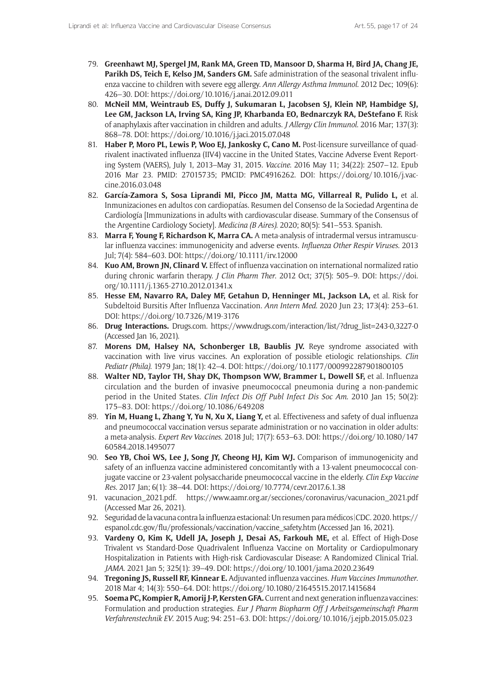- 79. **Greenhawt MJ, Spergel JM, Rank MA, Green TD, Mansoor D, Sharma H, Bird JA, Chang JE, Parikh DS, Teich E, Kelso JM, Sanders GM.** Safe administration of the seasonal trivalent influenza vaccine to children with severe egg allergy. *Ann Allergy Asthma Immunol*. 2012 Dec; 109(6): 426–30. DOI:<https://doi.org/10.1016/j.anai.2012.09.011>
- 80. **McNeil MM, Weintraub ES, Duffy J, Sukumaran L, Jacobsen SJ, Klein NP, Hambidge SJ, Lee GM, Jackson LA, Irving SA, King JP, Kharbanda EO, Bednarczyk RA, DeStefano F.** Risk of anaphylaxis after vaccination in children and adults. *J Allergy Clin Immunol*. 2016 Mar; 137(3): 868–78. DOI:<https://doi.org/10.1016/j.jaci.2015.07.048>
- 81. **Haber P, Moro PL, Lewis P, Woo EJ, Jankosky C, Cano M.** Post-licensure surveillance of quadrivalent inactivated influenza (IIV4) vaccine in the United States, Vaccine Adverse Event Reporting System (VAERS), July 1, 2013–May 31, 2015. *Vaccine*. 2016 May 11; 34(22): 2507–12. Epub 2016 Mar 23. PMID: 27015735; PMCID: PMC4916262. DOI: [https://doi.org/10.1016/j.vac](https://doi.org/10.1016/j.vaccine.2016.03.048)[cine.2016.03.048](https://doi.org/10.1016/j.vaccine.2016.03.048)
- 82. **García-Zamora S, Sosa Liprandi MI, Picco JM, Matta MG, Villarreal R, Pulido L,** et al. Inmunizaciones en adultos con cardiopatías. Resumen del Consenso de la Sociedad Argentina de Cardiología [Immunizations in adults with cardiovascular disease. Summary of the Consensus of the Argentine Cardiology Society]. *Medicina (B Aires)*. 2020; 80(5): 541–553. Spanish.
- 83. **Marra F, Young F, Richardson K, Marra CA.** A meta-analysis of intradermal versus intramuscular influenza vaccines: immunogenicity and adverse events. *Influenza Other Respir Viruses*. 2013 Jul; 7(4): 584–603. DOI:<https://doi.org/10.1111/irv.12000>
- 84. **Kuo AM, Brown JN, Clinard V.** Effect of influenza vaccination on international normalized ratio during chronic warfarin therapy. *J Clin Pharm Ther*. 2012 Oct; 37(5): 505–9. DOI: [https://doi.](https://doi.org/10.1111/j.1365-2710.2012.01341.x) [org/10.1111/j.1365-2710.2012.01341.x](https://doi.org/10.1111/j.1365-2710.2012.01341.x)
- 85. **Hesse EM, Navarro RA, Daley MF, Getahun D, Henninger ML, Jackson LA,** et al. Risk for Subdeltoid Bursitis After Influenza Vaccination. *Ann Intern Med*. 2020 Jun 23; 173(4): 253–61. DOI: <https://doi.org/10.7326/M19-3176>
- 86. **Drug Interactions.** [Drugs.com.](http://Drugs.com) [https://www.drugs.com/interaction/list/?drug\\_list=243-0,3227-0](https://www.drugs.com/interaction/list/?drug_list=243-0,3227-0) (Accessed Jan 16, 2021).
- 87. **Morens DM, Halsey NA, Schonberger LB, Baublis JV.** Reye syndrome associated with vaccination with live virus vaccines. An exploration of possible etiologic relationships. *Clin Pediatr (Phila)*. 1979 Jan; 18(1): 42–4. DOI: <https://doi.org/10.1177/000992287901800105>
- 88. **Walter ND, Taylor TH, Shay DK, Thompson WW, Brammer L, Dowell SF,** et al. Influenza circulation and the burden of invasive pneumococcal pneumonia during a non-pandemic period in the United States. *Clin Infect Dis Off Publ Infect Dis Soc Am*. 2010 Jan 15; 50(2): 175–83. DOI:<https://doi.org/10.1086/649208>
- 89. **Yin M, Huang L, Zhang Y, Yu N, Xu X, Liang Y,** et al. Effectiveness and safety of dual influenza and pneumococcal vaccination versus separate administration or no vaccination in older adults: a meta-analysis. *Expert Rev Vaccines*. 2018 Jul; 17(7): 653–63. DOI: [https://doi.org/10.1080/147](https://doi.org/10.1080/14760584.2018.1495077) [60584.2018.1495077](https://doi.org/10.1080/14760584.2018.1495077)
- 90. **Seo YB, Choi WS, Lee J, Song JY, Cheong HJ, Kim WJ.** Comparison of immunogenicity and safety of an influenza vaccine administered concomitantly with a 13-valent pneumococcal conjugate vaccine or 23-valent polysaccharide pneumococcal vaccine in the elderly. *Clin Exp Vaccine Res*. 2017 Jan; 6(1): 38–44. DOI: <https://doi.org/10.7774/cevr.2017.6.1.38>
- 91. vacunacion\_2021.pdf. [https://www.aamr.org.ar/secciones/coronavirus/vacunacion\\_2021.pdf](https://www.aamr.org.ar/secciones/coronavirus/vacunacion_2021.pdf) (Accessed Mar 26, 2021).
- 92. Seguridad de la vacuna contra la influenza estacional: Un resumen para médicos|CDC. 2020. [https://](https://espanol.cdc.gov/flu/professionals/vaccination/vaccine_safety.htm) [espanol.cdc.gov/flu/professionals/vaccination/vaccine\\_safety.htm](https://espanol.cdc.gov/flu/professionals/vaccination/vaccine_safety.htm) (Accessed Jan 16, 2021).
- 93. **Vardeny O, Kim K, Udell JA, Joseph J, Desai AS, Farkouh ME,** et al. Effect of High-Dose Trivalent vs Standard-Dose Quadrivalent Influenza Vaccine on Mortality or Cardiopulmonary Hospitalization in Patients with High-risk Cardiovascular Disease: A Randomized Clinical Trial. *JAMA*. 2021 Jan 5; 325(1): 39–49. DOI: <https://doi.org/10.1001/jama.2020.23649>
- 94. **Tregoning JS, Russell RF, Kinnear E.** Adjuvanted influenza vaccines. *Hum Vaccines Immunother*. 2018 Mar 4; 14(3): 550–64. DOI: <https://doi.org/10.1080/21645515.2017.1415684>
- 95. **Soema PC, Kompier R, Amorij J-P, Kersten GFA.** Current and next generation influenza vaccines: Formulation and production strategies. *Eur J Pharm Biopharm Off J Arbeitsgemeinschaft Pharm Verfahrenstechnik EV*. 2015 Aug; 94: 251–63. DOI:<https://doi.org/10.1016/j.ejpb.2015.05.023>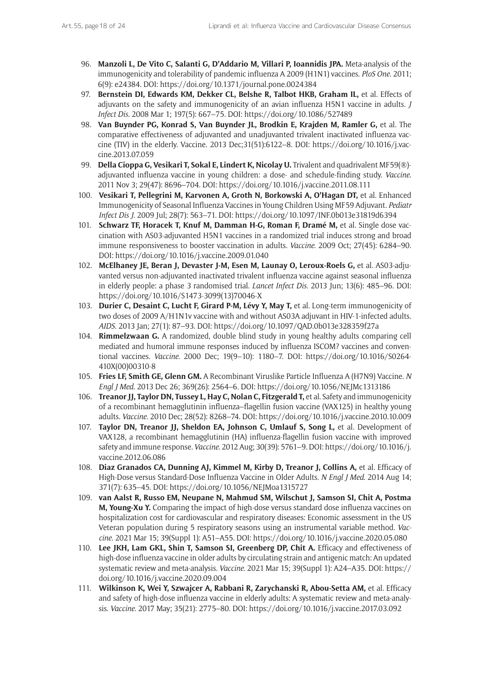- 96. **Manzoli L, De Vito C, Salanti G, D'Addario M, Villari P, Ioannidis JPA.** Meta-analysis of the immunogenicity and tolerability of pandemic influenza A 2009 (H1N1) vaccines. *PloS One*. 2011; 6(9): e24384. DOI: <https://doi.org/10.1371/journal.pone.0024384>
- 97. **Bernstein DI, Edwards KM, Dekker CL, Belshe R, Talbot HKB, Graham IL,** et al. Effects of adjuvants on the safety and immunogenicity of an avian influenza H5N1 vaccine in adults. *J Infect Dis*. 2008 Mar 1; 197(5): 667–75. DOI:<https://doi.org/10.1086/527489>
- 98. **Van Buynder PG, Konrad S, Van Buynder JL, Brodkin E, Krajden M, Ramler G,** et al. The comparative effectiveness of adjuvanted and unadjuvanted trivalent inactivated influenza vaccine (TIV) in the elderly. Vaccine. 2013 Dec;31(51):6122–8. DOI: [https://doi.org/10.1016/j.vac](https://doi.org/10.1016/j.vaccine.2013.07.059)[cine.2013.07.059](https://doi.org/10.1016/j.vaccine.2013.07.059)
- 99. **Della Cioppa G, Vesikari T, Sokal E, Lindert K, Nicolay U.** Trivalent and quadrivalent MF59(®) adjuvanted influenza vaccine in young children: a dose- and schedule-finding study. *Vaccine*. 2011 Nov 3; 29(47): 8696–704. DOI: <https://doi.org/10.1016/j.vaccine.2011.08.111>
- 100. **Vesikari T, Pellegrini M, Karvonen A, Groth N, Borkowski A, O'Hagan DT,** et al. Enhanced Immunogenicity of Seasonal Influenza Vaccines in Young Children Using MF59 Adjuvant. *Pediatr Infect Dis J*. 2009 Jul; 28(7): 563–71. DOI: <https://doi.org/10.1097/INF.0b013e31819d6394>
- 101. **Schwarz TF, Horacek T, Knuf M, Damman H-G, Roman F, Dramé M,** et al. Single dose vaccination with AS03-adjuvanted H5N1 vaccines in a randomized trial induces strong and broad immune responsiveness to booster vaccination in adults. *Vaccine*. 2009 Oct; 27(45): 6284–90. DOI:<https://doi.org/10.1016/j.vaccine.2009.01.040>
- 102. **McElhaney JE, Beran J, Devaster J-M, Esen M, Launay O, Leroux-Roels G,** et al. AS03-adjuvanted versus non-adjuvanted inactivated trivalent influenza vaccine against seasonal influenza in elderly people: a phase 3 randomised trial. *Lancet Infect Dis*. 2013 Jun; 13(6): 485–96. DOI: [https://doi.org/10.1016/S1473-3099\(13\)70046-X](https://doi.org/10.1016/S1473-3099(13)70046-X)
- 103. **Durier C, Desaint C, Lucht F, Girard P-M, Lévy Y, May T,** et al. Long-term immunogenicity of two doses of 2009 A/H1N1v vaccine with and without AS03A adjuvant in HIV-1-infected adults. *AIDS*. 2013 Jan; 27(1): 87–93. DOI:<https://doi.org/10.1097/QAD.0b013e328359f27a>
- 104. **Rimmelzwaan G.** A randomized, double blind study in young healthy adults comparing cell mediated and humoral immune responses induced by influenza ISCOM? vaccines and conventional vaccines. *Vaccine*. 2000 Dec; 19(9–10): 1180–7. DOI: [https://doi.org/10.1016/S0264-](https://doi.org/10.1016/S0264-410X(00)00310-8) [410X\(00\)00310-8](https://doi.org/10.1016/S0264-410X(00)00310-8)
- 105. **Fries LF, Smith GE, Glenn GM.** A Recombinant Viruslike Particle Influenza A (H7N9) Vaccine. *N Engl J Med*. 2013 Dec 26; 369(26): 2564–6. DOI:<https://doi.org/10.1056/NEJMc1313186>
- 106. **Treanor JJ, Taylor DN, Tussey L, Hay C, Nolan C, Fitzgerald T,** et al. Safety and immunogenicity of a recombinant hemagglutinin influenza–flagellin fusion vaccine (VAX125) in healthy young adults. *Vaccine*. 2010 Dec; 28(52): 8268–74. DOI:<https://doi.org/10.1016/j.vaccine.2010.10.009>
- 107. **Taylor DN, Treanor JJ, Sheldon EA, Johnson C, Umlauf S, Song L,** et al. Development of VAX128, a recombinant hemagglutinin (HA) influenza-flagellin fusion vaccine with improved safety and immune response. *Vaccine*. 2012 Aug; 30(39): 5761–9. DOI: [https://doi.org/10.1016/j.](https://doi.org/10.1016/j.vaccine.2012.06.086) [vaccine.2012.06.086](https://doi.org/10.1016/j.vaccine.2012.06.086)
- 108. **Diaz Granados CA, Dunning AJ, Kimmel M, Kirby D, Treanor J, Collins A,** et al. Efficacy of High-Dose versus Standard-Dose Influenza Vaccine in Older Adults. *N Engl J Med*. 2014 Aug 14; 371(7): 635–45. DOI: <https://doi.org/10.1056/NEJMoa1315727>
- 109. **van Aalst R, Russo EM, Neupane N, Mahmud SM, Wilschut J, Samson SI, Chit A, Postma M, Young-Xu Y.** Comparing the impact of high-dose versus standard dose influenza vaccines on hospitalization cost for cardiovascular and respiratory diseases: Economic assessment in the US Veteran population during 5 respiratory seasons using an instrumental variable method. *Vaccine*. 2021 Mar 15; 39(Suppl 1): A51–A55. DOI:<https://doi.org/10.1016/j.vaccine.2020.05.080>
- 110. **Lee JKH, Lam GKL, Shin T, Samson SI, Greenberg DP, Chit A.** Efficacy and effectiveness of high-dose influenza vaccine in older adults by circulating strain and antigenic match: An updated systematic review and meta-analysis. *Vaccine*. 2021 Mar 15; 39(Suppl 1): A24–A35. DOI: [https://](https://doi.org/10.1016/j.vaccine.2020.09.004) [doi.org/10.1016/j.vaccine.2020.09.004](https://doi.org/10.1016/j.vaccine.2020.09.004)
- 111. **Wilkinson K, Wei Y, Szwajcer A, Rabbani R, Zarychanski R, Abou-Setta AM,** et al. Efficacy and safety of high-dose influenza vaccine in elderly adults: A systematic review and meta-analysis. *Vaccine*. 2017 May; 35(21): 2775–80. DOI:<https://doi.org/10.1016/j.vaccine.2017.03.092>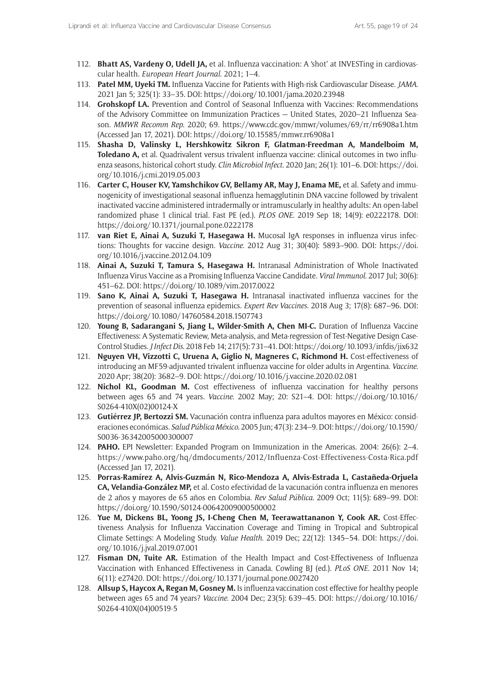- 112. **Bhatt AS, Vardeny O, Udell JA,** et al. Influenza vaccination: A 'shot' at INVESTing in cardiovascular health. *European Heart Journal*. 2021; 1–4.
- 113. **Patel MM, Uyeki TM.** Influenza Vaccine for Patients with High-risk Cardiovascular Disease. *JAMA*. 2021 Jan 5; 325(1): 33–35. DOI: <https://doi.org/10.1001/jama.2020.23948>
- 114. **Grohskopf LA.** Prevention and Control of Seasonal Influenza with Vaccines: Recommendations of the Advisory Committee on Immunization Practices — United States, 2020–21 Influenza Season. *MMWR Recomm Rep*. 2020; 69. <https://www.cdc.gov/mmwr/volumes/69/rr/rr6908a1.htm> (Accessed Jan 17, 2021). DOI:<https://doi.org/10.15585/mmwr.rr6908a1>
- 115. **Shasha D, Valinsky L, Hershkowitz Sikron F, Glatman-Freedman A, Mandelboim M, Toledano A,** et al. Quadrivalent versus trivalent influenza vaccine: clinical outcomes in two influenza seasons, historical cohort study. *Clin Microbiol Infect*. 2020 Jan; 26(1): 101–6. DOI: [https://doi.](https://doi.org/10.1016/j.cmi.2019.05.003) [org/10.1016/j.cmi.2019.05.003](https://doi.org/10.1016/j.cmi.2019.05.003)
- 116. **Carter C, Houser KV, Yamshchikov GV, Bellamy AR, May J, Enama ME,** et al. Safety and immunogenicity of investigational seasonal influenza hemagglutinin DNA vaccine followed by trivalent inactivated vaccine administered intradermally or intramuscularly in healthy adults: An open-label randomized phase 1 clinical trial. Fast PE (ed.). *PLOS ONE*. 2019 Sep 18; 14(9): e0222178. DOI: <https://doi.org/10.1371/journal.pone.0222178>
- 117. **van Riet E, Ainai A, Suzuki T, Hasegawa H.** Mucosal IgA responses in influenza virus infections: Thoughts for vaccine design. *Vaccine*. 2012 Aug 31; 30(40): 5893–900. DOI: [https://doi.](https://doi.org/10.1016/j.vaccine.2012.04.109) [org/10.1016/j.vaccine.2012.04.109](https://doi.org/10.1016/j.vaccine.2012.04.109)
- 118. **Ainai A, Suzuki T, Tamura S, Hasegawa H.** Intranasal Administration of Whole Inactivated Influenza Virus Vaccine as a Promising Influenza Vaccine Candidate. *Viral Immunol*. 2017 Jul; 30(6): 451–62. DOI: <https://doi.org/10.1089/vim.2017.0022>
- 119. **Sano K, Ainai A, Suzuki T, Hasegawa H.** Intranasal inactivated influenza vaccines for the prevention of seasonal influenza epidemics. *Expert Rev Vaccines*. 2018 Aug 3; 17(8): 687–96. DOI: <https://doi.org/10.1080/14760584.2018.1507743>
- 120. **Young B, Sadarangani S, Jiang L, Wilder-Smith A, Chen MI-C.** Duration of Influenza Vaccine Effectiveness: A Systematic Review, Meta-analysis, and Meta-regression of Test-Negative Design Case-Control Studies. *J Infect Dis*. 2018 Feb 14; 217(5): 731–41. DOI:<https://doi.org/10.1093/infdis/jix632>
- 121. **Nguyen VH, Vizzotti C, Uruena A, Giglio N, Magneres C, Richmond H.** Cost-effectiveness of introducing an MF59-adjuvanted trivalent influenza vaccine for older adults in Argentina. *Vaccine*. 2020 Apr; 38(20): 3682–9. DOI: <https://doi.org/10.1016/j.vaccine.2020.02.081>
- 122. **Nichol KL, Goodman M.** Cost effectiveness of influenza vaccination for healthy persons between ages 65 and 74 years. *Vaccine*. 2002 May; 20: S21–4. DOI: [https://doi.org/10.1016/](https://doi.org/10.1016/S0264-410X(02)00124-X) [S0264-410X\(02\)00124-X](https://doi.org/10.1016/S0264-410X(02)00124-X)
- 123. **Gutiérrez JP, Bertozzi SM.** Vacunación contra influenza para adultos mayores en México: consideraciones económicas. *Salud Pública México*. 2005 Jun; 47(3): 234–9. DOI: [https://doi.org/10.1590/](https://doi.org/10.1590/S0036-36342005000300007) [S0036-36342005000300007](https://doi.org/10.1590/S0036-36342005000300007)
- 124. **PAHO.** EPI Newsletter: Expanded Program on Immunization in the Americas. 2004: 26(6): 2–4. <https://www.paho.org/hq/dmdocuments/2012/Influenza-Cost-Effectiveness-Costa-Rica.pdf> (Accessed Jan 17, 2021).
- 125. **Porras-Ramírez A, Alvis-Guzmán N, Rico-Mendoza A, Alvis-Estrada L, Castañeda-Orjuela CA, Velandia-González MP,** et al. Costo efectividad de la vacunación contra influenza en menores de 2 años y mayores de 65 años en Colombia. *Rev Salud Pública*. 2009 Oct; 11(5): 689–99. DOI: <https://doi.org/10.1590/S0124-00642009000500002>
- 126. **Yue M, Dickens BL, Yoong JS, I-Cheng Chen M, Teerawattananon Y, Cook AR.** Cost-Effectiveness Analysis for Influenza Vaccination Coverage and Timing in Tropical and Subtropical Climate Settings: A Modeling Study. *Value Health*. 2019 Dec; 22(12): 1345–54. DOI: [https://doi.](https://doi.org/10.1016/j.jval.2019.07.001) [org/10.1016/j.jval.2019.07.001](https://doi.org/10.1016/j.jval.2019.07.001)
- 127. **Fisman DN, Tuite AR.** Estimation of the Health Impact and Cost-Effectiveness of Influenza Vaccination with Enhanced Effectiveness in Canada. Cowling BJ (ed.). *PLoS ONE*. 2011 Nov 14; 6(11): e27420. DOI: <https://doi.org/10.1371/journal.pone.0027420>
- 128. **Allsup S, Haycox A, Regan M, Gosney M.** Is influenza vaccination cost effective for healthy people between ages 65 and 74 years? *Vaccine*. 2004 Dec; 23(5): 639–45. DOI: [https://doi.org/10.1016/](https://doi.org/10.1016/S0264-410X(04)00519-5) [S0264-410X\(04\)00519-5](https://doi.org/10.1016/S0264-410X(04)00519-5)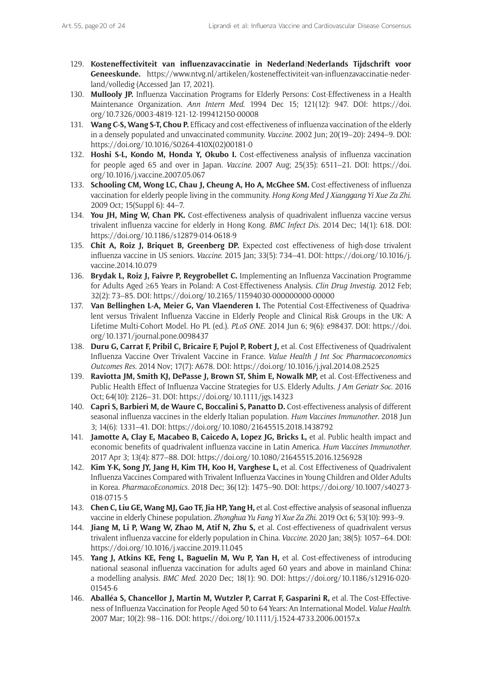- 129. **Kosteneffectiviteit van influenzavaccinatie in Nederland|Nederlands Tijdschrift voor Geneeskunde.** [https://www.ntvg.nl/artikelen/kosteneffectiviteit-van-influenzavaccinatie-neder](https://www.ntvg.nl/artikelen/kosteneffectiviteit-van-influenzavaccinatie-nederland/volledig)[land/volledig](https://www.ntvg.nl/artikelen/kosteneffectiviteit-van-influenzavaccinatie-nederland/volledig) (Accessed Jan 17, 2021).
- 130. **Mullooly JP.** Influenza Vaccination Programs for Elderly Persons: Cost-Effectiveness in a Health Maintenance Organization. *Ann Intern Med*. 1994 Dec 15; 121(12): 947. DOI: [https://doi.](https://doi.org/10.7326/0003-4819-121-12-199412150-00008) [org/10.7326/0003-4819-121-12-199412150-00008](https://doi.org/10.7326/0003-4819-121-12-199412150-00008)
- 131. **Wang C-S, Wang S-T, Chou P.** Efficacy and cost-effectiveness of influenza vaccination of the elderly in a densely populated and unvaccinated community. *Vaccine*. 2002 Jun; 20(19–20): 2494–9. DOI: [https://doi.org/10.1016/S0264-410X\(02\)00181-0](https://doi.org/10.1016/S0264-410X(02)00181-0)
- 132. **Hoshi S-L, Kondo M, Honda Y, Okubo I.** Cost-effectiveness analysis of influenza vaccination for people aged 65 and over in Japan. *Vaccine*. 2007 Aug; 25(35): 6511–21. DOI: [https://doi.](https://doi.org/10.1016/j.vaccine.2007.05.067) [org/10.1016/j.vaccine.2007.05.067](https://doi.org/10.1016/j.vaccine.2007.05.067)
- 133. **Schooling CM, Wong LC, Chau J, Cheung A, Ho A, McGhee SM.** Cost-effectiveness of influenza vaccination for elderly people living in the community. *Hong Kong Med J Xianggang Yi Xue Za Zhi*. 2009 Oct; 15(Suppl 6): 44–7.
- 134. **You JH, Ming W, Chan PK.** Cost-effectiveness analysis of quadrivalent influenza vaccine versus trivalent influenza vaccine for elderly in Hong Kong. *BMC Infect Dis*. 2014 Dec; 14(1): 618. DOI: <https://doi.org/10.1186/s12879-014-0618-9>
- 135. **Chit A, Roiz J, Briquet B, Greenberg DP.** Expected cost effectiveness of high-dose trivalent influenza vaccine in US seniors. *Vaccine*. 2015 Jan; 33(5): 734–41. DOI: [https://doi.org/10.1016/j.](https://doi.org/10.1016/j.vaccine.2014.10.079) [vaccine.2014.10.079](https://doi.org/10.1016/j.vaccine.2014.10.079)
- 136. **Brydak L, Roiz J, Faivre P, Reygrobellet C.** Implementing an Influenza Vaccination Programme for Adults Aged ≥65 Years in Poland: A Cost-Effectiveness Analysis. *Clin Drug Investig*. 2012 Feb; 32(2): 73–85. DOI:<https://doi.org/10.2165/11594030-000000000-00000>
- 137. **Van Bellinghen L-A, Meier G, Van Vlaenderen I.** The Potential Cost-Effectiveness of Quadrivalent versus Trivalent Influenza Vaccine in Elderly People and Clinical Risk Groups in the UK: A Lifetime Multi-Cohort Model. Ho PL (ed.). *PLoS ONE*. 2014 Jun 6; 9(6): e98437. DOI: [https://doi.](https://doi.org/10.1371/journal.pone.0098437) [org/10.1371/journal.pone.0098437](https://doi.org/10.1371/journal.pone.0098437)
- 138. **Duru G, Carrat F, Pribil C, Bricaire F, Pujol P, Robert J,** et al. Cost Effectiveness of Quadrivalent Influenza Vaccine Over Trivalent Vaccine in France. *Value Health J Int Soc Pharmacoeconomics Outcomes Res*. 2014 Nov; 17(7): A678. DOI:<https://doi.org/10.1016/j.jval.2014.08.2525>
- 139. **Raviotta JM, Smith KJ, DePasse J, Brown ST, Shim E, Nowalk MP, et al. Cost-Effectiveness and** Public Health Effect of Influenza Vaccine Strategies for U.S. Elderly Adults. *J Am Geriatr Soc*. 2016 Oct; 64(10): 2126–31. DOI:<https://doi.org/10.1111/jgs.14323>
- 140. **Capri S, Barbieri M, de Waure C, Boccalini S, Panatto D.** Cost-effectiveness analysis of different seasonal influenza vaccines in the elderly Italian population. *Hum Vaccines Immunother*. 2018 Jun 3; 14(6): 1331–41. DOI:<https://doi.org/10.1080/21645515.2018.1438792>
- 141. **Jamotte A, Clay E, Macabeo B, Caicedo A, Lopez JG, Bricks L,** et al. Public health impact and economic benefits of quadrivalent influenza vaccine in Latin America. *Hum Vaccines Immunother*. 2017 Apr 3; 13(4): 877–88. DOI: <https://doi.org/10.1080/21645515.2016.1256928>
- 142. **Kim Y-K, Song JY, Jang H, Kim TH, Koo H, Varghese L,** et al. Cost Effectiveness of Quadrivalent Influenza Vaccines Compared with Trivalent Influenza Vaccines in Young Children and Older Adults in Korea. *PharmacoEconomics*. 2018 Dec; 36(12): 1475–90. DOI: [https://doi.org/10.1007/s40273-](https://doi.org/10.1007/s40273-018-0715-5) [018-0715-5](https://doi.org/10.1007/s40273-018-0715-5)
- 143. **Chen C, Liu GE, Wang MJ, Gao TF, Jia HP, Yang H,** et al. Cost-effective analysis of seasonal influenza vaccine in elderly Chinese population. *Zhonghua Yu Fang Yi Xue Za Zhi*. 2019 Oct 6; 53(10): 993–9.
- 144. **Jiang M, Li P, Wang W, Zhao M, Atif N, Zhu S,** et al. Cost-effectiveness of quadrivalent versus trivalent influenza vaccine for elderly population in China. *Vaccine*. 2020 Jan; 38(5): 1057–64. DOI: <https://doi.org/10.1016/j.vaccine.2019.11.045>
- 145. **Yang J, Atkins KE, Feng L, Baguelin M, Wu P, Yan H,** et al. Cost-effectiveness of introducing national seasonal influenza vaccination for adults aged 60 years and above in mainland China: a modelling analysis. *BMC Med*. 2020 Dec; 18(1): 90. DOI: [https://doi.org/10.1186/s12916-020-](https://doi.org/10.1186/s12916-020-01545-6) [01545-6](https://doi.org/10.1186/s12916-020-01545-6)
- 146. **Aballéa S, Chancellor J, Martin M, Wutzler P, Carrat F, Gasparini R,** et al. The Cost-Effectiveness of Influenza Vaccination for People Aged 50 to 64 Years: An International Model. *Value Health*. 2007 Mar; 10(2): 98–116. DOI: <https://doi.org/10.1111/j.1524-4733.2006.00157.x>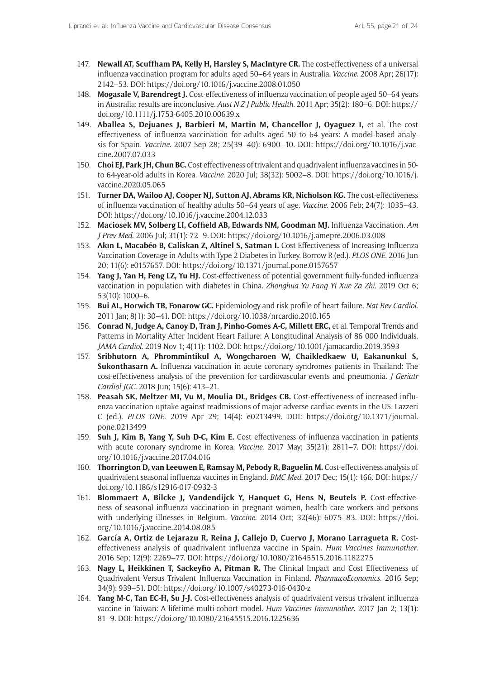- 147. **Newall AT, Scuffham PA, Kelly H, Harsley S, MacIntyre CR.** The cost-effectiveness of a universal influenza vaccination program for adults aged 50–64 years in Australia. *Vaccine*. 2008 Apr; 26(17): 2142–53. DOI:<https://doi.org/10.1016/j.vaccine.2008.01.050>
- 148. **Mogasale V, Barendregt J.** Cost-effectiveness of influenza vaccination of people aged 50–64 years in Australia: results are inconclusive. *Aust N Z J Public Health*. 2011 Apr; 35(2): 180–6. DOI: [https://](https://doi.org/10.1111/j.1753-6405.2010.00639.x) [doi.org/10.1111/j.1753-6405.2010.00639.x](https://doi.org/10.1111/j.1753-6405.2010.00639.x)
- 149. **Aballea S, Dejuanes J, Barbieri M, Martin M, Chancellor J, Oyaguez I,** et al. The cost effectiveness of influenza vaccination for adults aged 50 to 64 years: A model-based analysis for Spain. *Vaccine*. 2007 Sep 28; 25(39–40): 6900–10. DOI: [https://doi.org/10.1016/j.vac](https://doi.org/10.1016/j.vaccine.2007.07.033)[cine.2007.07.033](https://doi.org/10.1016/j.vaccine.2007.07.033)
- 150. **Choi EJ, Park JH, Chun BC.** Cost effectiveness of trivalent and quadrivalent influenza vaccines in 50 to 64-year-old adults in Korea. *Vaccine*. 2020 Jul; 38(32): 5002–8. DOI: [https://doi.org/10.1016/j.](https://doi.org/10.1016/j.vaccine.2020.05.065) [vaccine.2020.05.065](https://doi.org/10.1016/j.vaccine.2020.05.065)
- 151. **Turner DA, Wailoo AJ, Cooper NJ, Sutton AJ, Abrams KR, Nicholson KG.** The cost-effectiveness of influenza vaccination of healthy adults 50–64 years of age. *Vaccine*. 2006 Feb; 24(7): 1035–43. DOI: <https://doi.org/10.1016/j.vaccine.2004.12.033>
- 152. **Maciosek MV, Solberg LI, Coffield AB, Edwards NM, Goodman MJ.** Influenza Vaccination. *Am J Prev Med*. 2006 Jul; 31(1): 72–9. DOI:<https://doi.org/10.1016/j.amepre.2006.03.008>
- 153. **Akın L, Macabéo B, Caliskan Z, Altinel S, Satman I.** Cost-Effectiveness of Increasing Influenza Vaccination Coverage in Adults with Type 2 Diabetes in Turkey. Borrow R (ed.). *PLOS ONE*. 2016 Jun 20; 11(6): e0157657. DOI:<https://doi.org/10.1371/journal.pone.0157657>
- 154. **Yang J, Yan H, Feng LZ, Yu HJ.** Cost-effectiveness of potential government fully-funded influenza vaccination in population with diabetes in China. *Zhonghua Yu Fang Yi Xue Za Zhi*. 2019 Oct 6; 53(10): 1000–6.
- 155. **Bui AL, Horwich TB, Fonarow GC.** Epidemiology and risk profile of heart failure. *Nat Rev Cardiol*. 2011 Jan; 8(1): 30–41. DOI:<https://doi.org/10.1038/nrcardio.2010.165>
- 156. **Conrad N, Judge A, Canoy D, Tran J, Pinho-Gomes A-C, Millett ERC,** et al. Temporal Trends and Patterns in Mortality After Incident Heart Failure: A Longitudinal Analysis of 86 000 Individuals. *JAMA Cardiol*. 2019 Nov 1; 4(11): 1102. DOI:<https://doi.org/10.1001/jamacardio.2019.3593>
- 157. **Sribhutorn A, Phrommintikul A, Wongcharoen W, Chaikledkaew U, Eakanunkul S, Sukonthasarn A.** Influenza vaccination in acute coronary syndromes patients in Thailand: The cost-effectiveness analysis of the prevention for cardiovascular events and pneumonia. *J Geriatr Cardiol JGC*. 2018 Jun; 15(6): 413–21.
- 158. **Peasah SK, Meltzer MI, Vu M, Moulia DL, Bridges CB.** Cost-effectiveness of increased influenza vaccination uptake against readmissions of major adverse cardiac events in the US. Lazzeri C (ed.). *PLOS ONE*. 2019 Apr 29; 14(4): e0213499. DOI: [https://doi.org/10.1371/journal.](https://doi.org/10.1371/journal.pone.0213499) [pone.0213499](https://doi.org/10.1371/journal.pone.0213499)
- 159. **Suh J, Kim B, Yang Y, Suh D-C, Kim E.** Cost effectiveness of influenza vaccination in patients with acute coronary syndrome in Korea. *Vaccine*. 2017 May; 35(21): 2811–7. DOI: [https://doi.](https://doi.org/10.1016/j.vaccine.2017.04.016) [org/10.1016/j.vaccine.2017.04.016](https://doi.org/10.1016/j.vaccine.2017.04.016)
- 160. **Thorrington D, van Leeuwen E, Ramsay M, Pebody R, Baguelin M.** Cost-effectiveness analysis of quadrivalent seasonal influenza vaccines in England. *BMC Med*. 2017 Dec; 15(1): 166. DOI: [https://](https://doi.org/10.1186/s12916-017-0932-3) [doi.org/10.1186/s12916-017-0932-3](https://doi.org/10.1186/s12916-017-0932-3)
- 161. **Blommaert A, Bilcke J, Vandendijck Y, Hanquet G, Hens N, Beutels P.** Cost-effectiveness of seasonal influenza vaccination in pregnant women, health care workers and persons with underlying illnesses in Belgium. *Vaccine*. 2014 Oct; 32(46): 6075–83. DOI: [https://doi.](https://doi.org/10.1016/j.vaccine.2014.08.085) [org/10.1016/j.vaccine.2014.08.085](https://doi.org/10.1016/j.vaccine.2014.08.085)
- 162. **García A, Ortiz de Lejarazu R, Reina J, Callejo D, Cuervo J, Morano Larragueta R.** Costeffectiveness analysis of quadrivalent influenza vaccine in Spain. *Hum Vaccines Immunother*. 2016 Sep; 12(9): 2269–77. DOI: <https://doi.org/10.1080/21645515.2016.1182275>
- 163. **Nagy L, Heikkinen T, Sackeyfio A, Pitman R.** The Clinical Impact and Cost Effectiveness of Quadrivalent Versus Trivalent Influenza Vaccination in Finland. *PharmacoEconomics*. 2016 Sep; 34(9): 939–51. DOI:<https://doi.org/10.1007/s40273-016-0430-z>
- 164. **Yang M-C, Tan EC-H, Su J-J.** Cost-effectiveness analysis of quadrivalent versus trivalent influenza vaccine in Taiwan: A lifetime multi-cohort model. *Hum Vaccines Immunother*. 2017 Jan 2; 13(1): 81–9. DOI: <https://doi.org/10.1080/21645515.2016.1225636>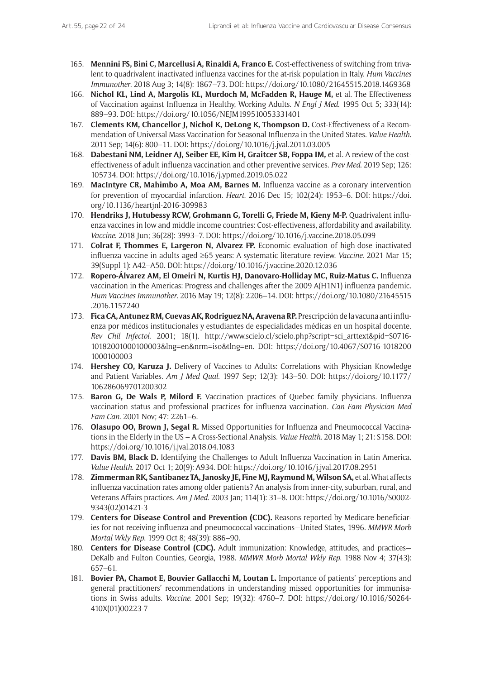- 165. **Mennini FS, Bini C, Marcellusi A, Rinaldi A, Franco E.** Cost-effectiveness of switching from trivalent to quadrivalent inactivated influenza vaccines for the at-risk population in Italy. *Hum Vaccines Immunother*. 2018 Aug 3; 14(8): 1867–73. DOI: <https://doi.org/10.1080/21645515.2018.1469368>
- 166. **Nichol KL, Lind A, Margolis KL, Murdoch M, McFadden R, Hauge M,** et al. The Effectiveness of Vaccination against Influenza in Healthy, Working Adults. *N Engl J Med*. 1995 Oct 5; 333(14): 889–93. DOI: <https://doi.org/10.1056/NEJM199510053331401>
- 167. **Clements KM, Chancellor J, Nichol K, DeLong K, Thompson D.** Cost-Effectiveness of a Recommendation of Universal Mass Vaccination for Seasonal Influenza in the United States. *Value Health*. 2011 Sep; 14(6): 800–11. DOI:<https://doi.org/10.1016/j.jval.2011.03.005>
- 168. **Dabestani NM, Leidner AJ, Seiber EE, Kim H, Graitcer SB, Foppa IM,** et al. A review of the costeffectiveness of adult influenza vaccination and other preventive services. *Prev Med*. 2019 Sep; 126: 105734. DOI: <https://doi.org/10.1016/j.ypmed.2019.05.022>
- 169. **MacIntyre CR, Mahimbo A, Moa AM, Barnes M.** Influenza vaccine as a coronary intervention for prevention of myocardial infarction. *Heart*. 2016 Dec 15; 102(24): 1953–6. DOI: [https://doi.](https://doi.org/10.1136/heartjnl-2016-309983) [org/10.1136/heartjnl-2016-309983](https://doi.org/10.1136/heartjnl-2016-309983)
- 170. **Hendriks J, Hutubessy RCW, Grohmann G, Torelli G, Friede M, Kieny M-P.** Quadrivalent influenza vaccines in low and middle income countries: Cost-effectiveness, affordability and availability. *Vaccine*. 2018 Jun; 36(28): 3993–7. DOI: <https://doi.org/10.1016/j.vaccine.2018.05.099>
- 171. **Colrat F, Thommes E, Largeron N, Alvarez FP.** Economic evaluation of high-dose inactivated influenza vaccine in adults aged ≥65 years: A systematic literature review. *Vaccine*. 2021 Mar 15; 39(Suppl 1): A42–A50. DOI:<https://doi.org/10.1016/j.vaccine.2020.12.036>
- 172. **Ropero-Álvarez AM, El Omeiri N, Kurtis HJ, Danovaro-Holliday MC, Ruiz-Matus C.** Influenza vaccination in the Americas: Progress and challenges after the 2009 A(H1N1) influenza pandemic. *Hum Vaccines Immunother*. 2016 May 19; 12(8): 2206–14. DOI: [https://doi.org/10.1080/21645515](https://doi.org/10.1080/21645515.2016.1157240) [.2016.1157240](https://doi.org/10.1080/21645515.2016.1157240)
- 173. **Fica CA, Antunez RM, Cuevas AK, Rodriguez NA, Aravena RP.** Prescripción de la vacuna anti influenza por médicos institucionales y estudiantes de especialidades médicas en un hospital docente. *Rev Chil Infectol*. 2001; 18(1). [http://www.scielo.cl/scielo.php?script=sci\\_arttext&pid=S0716-](http://www.scielo.cl/scielo.php?script=sci_arttext&pid=S0716-10182001000100003&lng=en&nrm=iso&tlng=en) [10182001000100003&lng=en&nrm=iso&tlng=en.](http://www.scielo.cl/scielo.php?script=sci_arttext&pid=S0716-10182001000100003&lng=en&nrm=iso&tlng=en) DOI: [https://doi.org/10.4067/S0716-1018200](https://doi.org/10.4067/S0716-10182001000100003) [1000100003](https://doi.org/10.4067/S0716-10182001000100003)
- 174. **Hershey CO, Karuza J.** Delivery of Vaccines to Adults: Correlations with Physician Knowledge and Patient Variables. *Am J Med Qual*. 1997 Sep; 12(3): 143–50. DOI: [https://doi.org/10.1177/](https://doi.org/10.1177/106286069701200302) [106286069701200302](https://doi.org/10.1177/106286069701200302)
- 175. **Baron G, De Wals P, Milord F.** Vaccination practices of Quebec family physicians. Influenza vaccination status and professional practices for influenza vaccination. *Can Fam Physician Med Fam Can*. 2001 Nov; 47: 2261–6.
- 176. **Olasupo OO, Brown J, Segal R.** Missed Opportunities for Influenza and Pneumococcal Vaccinations in the Elderly in the US – A Cross-Sectional Analysis. *Value Health*. 2018 May 1; 21: S158. DOI: <https://doi.org/10.1016/j.jval.2018.04.1083>
- 177. **Davis BM, Black D.** Identifying the Challenges to Adult Influenza Vaccination in Latin America. *Value Health*. 2017 Oct 1; 20(9): A934. DOI: <https://doi.org/10.1016/j.jval.2017.08.2951>
- 178. **Zimmerman RK, Santibanez TA, Janosky JE, Fine MJ, Raymund M, Wilson SA,** et al. What affects influenza vaccination rates among older patients? An analysis from inner-city, suburban, rural, and Veterans Affairs practices. *Am J Med*. 2003 Jan; 114(1): 31–8. DOI: [https://doi.org/10.1016/S0002-](https://doi.org/10.1016/S0002-9343(02)01421-3) [9343\(02\)01421-3](https://doi.org/10.1016/S0002-9343(02)01421-3)
- 179. **Centers for Disease Control and Prevention (CDC).** Reasons reported by Medicare beneficiaries for not receiving influenza and pneumococcal vaccinations—United States, 1996. *MMWR Morb Mortal Wkly Rep*. 1999 Oct 8; 48(39): 886–90.
- 180. **Centers for Disease Control (CDC).** Adult immunization: Knowledge, attitudes, and practices— DeKalb and Fulton Counties, Georgia, 1988. *MMWR Morb Mortal Wkly Rep*. 1988 Nov 4; 37(43): 657–61.
- 181. **Bovier PA, Chamot E, Bouvier Gallacchi M, Loutan L.** Importance of patients' perceptions and general practitioners' recommendations in understanding missed opportunities for immunisations in Swiss adults. *Vaccine*. 2001 Sep; 19(32): 4760–7. DOI: [https://doi.org/10.1016/S0264-](https://doi.org/10.1016/S0264-410X(01)00223-7) [410X\(01\)00223-7](https://doi.org/10.1016/S0264-410X(01)00223-7)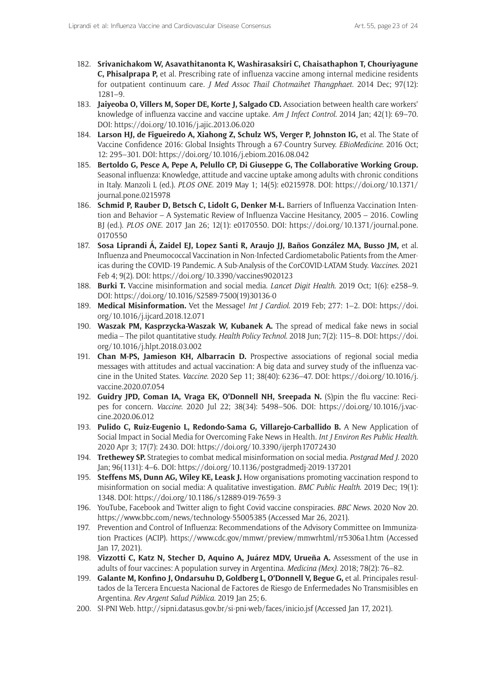- 182. **Srivanichakom W, Asavathitanonta K, Washirasaksiri C, Chaisathaphon T, Chouriyagune C, Phisalprapa P,** et al. Prescribing rate of influenza vaccine among internal medicine residents for outpatient continuum care. *J Med Assoc Thail Chotmaihet Thangphaet*. 2014 Dec; 97(12): 1281–9.
- 183. **Jaiyeoba O, Villers M, Soper DE, Korte J, Salgado CD.** Association between health care workers' knowledge of influenza vaccine and vaccine uptake. *Am J Infect Control*. 2014 Jan; 42(1): 69–70. DOI: <https://doi.org/10.1016/j.ajic.2013.06.020>
- 184. **Larson HJ, de Figueiredo A, Xiahong Z, Schulz WS, Verger P, Johnston IG,** et al. The State of Vaccine Confidence 2016: Global Insights Through a 67-Country Survey. *EBioMedicine*. 2016 Oct; 12: 295–301. DOI:<https://doi.org/10.1016/j.ebiom.2016.08.042>
- 185. **Bertoldo G, Pesce A, Pepe A, Pelullo CP, Di Giuseppe G, The Collaborative Working Group.** Seasonal influenza: Knowledge, attitude and vaccine uptake among adults with chronic conditions in Italy. Manzoli L (ed.). *PLOS ONE*. 2019 May 1; 14(5): e0215978. DOI: [https://doi.org/10.1371/](https://doi.org/10.1371/journal.pone.0215978) [journal.pone.0215978](https://doi.org/10.1371/journal.pone.0215978)
- 186. **Schmid P, Rauber D, Betsch C, Lidolt G, Denker M-L.** Barriers of Influenza Vaccination Intention and Behavior – A Systematic Review of Influenza Vaccine Hesitancy, 2005 – 2016. Cowling BJ (ed.). *PLOS ONE*. 2017 Jan 26; 12(1): e0170550. DOI: [https://doi.org/10.1371/journal.pone.](https://doi.org/10.1371/journal.pone.0170550) [0170550](https://doi.org/10.1371/journal.pone.0170550)
- 187. **Sosa Liprandi Á, Zaidel EJ, Lopez Santi R, Araujo JJ, Baños González MA, Busso JM,** et al. Influenza and Pneumococcal Vaccination in Non-Infected Cardiometabolic Patients from the Americas during the COVID-19 Pandemic. A Sub-Analysis of the CorCOVID-LATAM Study. *Vaccines*. 2021 Feb 4; 9(2). DOI:<https://doi.org/10.3390/vaccines9020123>
- 188. **Burki T.** Vaccine misinformation and social media. *Lancet Digit Health*. 2019 Oct; 1(6): e258–9. DOI: [https://doi.org/10.1016/S2589-7500\(19\)30136-0](https://doi.org/10.1016/S2589-7500(19)30136-0)
- 189. **Medical Misinformation.** Vet the Message! *Int J Cardiol*. 2019 Feb; 277: 1–2. DOI: [https://doi.](https://doi.org/10.1016/j.ijcard.2018.12.071) [org/10.1016/j.ijcard.2018.12.071](https://doi.org/10.1016/j.ijcard.2018.12.071)
- 190. **Waszak PM, Kasprzycka-Waszak W, Kubanek A.** The spread of medical fake news in social media – The pilot quantitative study. *Health Policy Technol*. 2018 Jun; 7(2): 115–8. DOI: [https://doi.](https://doi.org/10.1016/j.hlpt.2018.03.002) [org/10.1016/j.hlpt.2018.03.002](https://doi.org/10.1016/j.hlpt.2018.03.002)
- 191. **Chan M-PS, Jamieson KH, Albarracin D.** Prospective associations of regional social media messages with attitudes and actual vaccination: A big data and survey study of the influenza vaccine in the United States. *Vaccine*. 2020 Sep 11; 38(40): 6236–47. DOI: [https://doi.org/10.1016/j.](https://doi.org/10.1016/j.vaccine.2020.07.054) [vaccine.2020.07.054](https://doi.org/10.1016/j.vaccine.2020.07.054)
- 192. **Guidry JPD, Coman IA, Vraga EK, O'Donnell NH, Sreepada N.** (S)pin the flu vaccine: Recipes for concern. *Vaccine*. 2020 Jul 22; 38(34): 5498–506. DOI: [https://doi.org/10.1016/j.vac](https://doi.org/10.1016/j.vaccine.2020.06.012)[cine.2020.06.012](https://doi.org/10.1016/j.vaccine.2020.06.012)
- 193. **Pulido C, Ruiz-Eugenio L, Redondo-Sama G, Villarejo-Carballido B.** A New Application of Social Impact in Social Media for Overcoming Fake News in Health. *Int J Environ Res Public Health*. 2020 Apr 3; 17(7): 2430. DOI: <https://doi.org/10.3390/ijerph17072430>
- 194. **Trethewey SP.** Strategies to combat medical misinformation on social media. *Postgrad Med J*. 2020 Jan; 96(1131): 4–6. DOI: <https://doi.org/10.1136/postgradmedj-2019-137201>
- 195. **Steffens MS, Dunn AG, Wiley KE, Leask J.** How organisations promoting vaccination respond to misinformation on social media: A qualitative investigation. *BMC Public Health*. 2019 Dec; 19(1): 1348. DOI: <https://doi.org/10.1186/s12889-019-7659-3>
- 196. YouTube, Facebook and Twitter align to fight Covid vaccine conspiracies. *BBC News*. 2020 Nov 20. <https://www.bbc.com/news/technology-55005385>(Accessed Mar 26, 2021).
- 197. Prevention and Control of Influenza: Recommendations of the Advisory Committee on Immunization Practices (ACIP). <https://www.cdc.gov/mmwr/preview/mmwrhtml/rr5306a1.htm> (Accessed Jan 17, 2021).
- 198. **Vizzotti C, Katz N, Stecher D, Aquino A, Juárez MDV, Urueña A.** Assessment of the use in adults of four vaccines: A population survey in Argentina. *Medicina (Mex)*. 2018; 78(2): 76–82.
- 199. **Galante M, Konfino J, Ondarsuhu D, Goldberg L, O'Donnell V, Begue G,** et al. Principales resultados de la Tercera Encuesta Nacional de Factores de Riesgo de Enfermedades No Transmisibles en Argentina. *Rev Argent Salud Pública*. 2019 Jan 25; 6.
- 200. SI-PNI Web.<http://sipni.datasus.gov.br/si-pni-web/faces/inicio.jsf> (Accessed Jan 17, 2021).